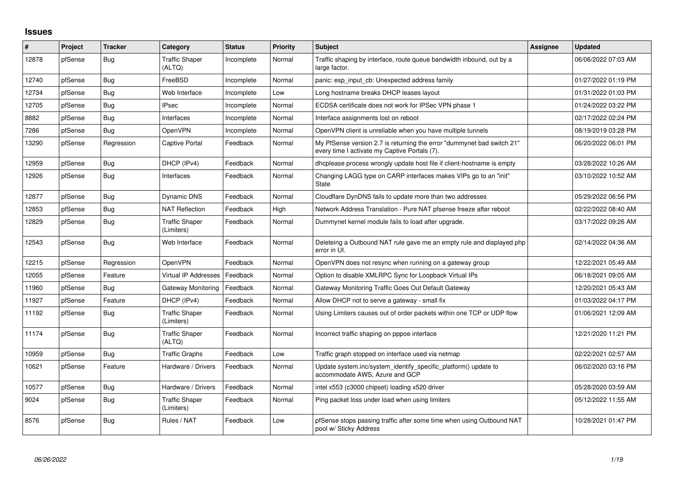## **Issues**

| ∦     | Project | <b>Tracker</b> | Category                            | <b>Status</b> | <b>Priority</b> | <b>Subject</b>                                                                                                          | <b>Assignee</b> | <b>Updated</b>      |
|-------|---------|----------------|-------------------------------------|---------------|-----------------|-------------------------------------------------------------------------------------------------------------------------|-----------------|---------------------|
| 12878 | pfSense | Bug            | <b>Traffic Shaper</b><br>(ALTQ)     | Incomplete    | Normal          | Traffic shaping by interface, route queue bandwidth inbound, out by a<br>large factor.                                  |                 | 06/06/2022 07:03 AM |
| 12740 | pfSense | Bug            | FreeBSD                             | Incomplete    | Normal          | panic: esp input cb: Unexpected address family                                                                          |                 | 01/27/2022 01:19 PM |
| 12734 | pfSense | Bug            | Web Interface                       | Incomplete    | Low             | Long hostname breaks DHCP leases layout                                                                                 |                 | 01/31/2022 01:03 PM |
| 12705 | pfSense | Bug            | <b>IPsec</b>                        | Incomplete    | Normal          | ECDSA certificate does not work for IPSec VPN phase 1                                                                   |                 | 01/24/2022 03:22 PM |
| 8882  | pfSense | Bug            | Interfaces                          | Incomplete    | Normal          | Interface assignments lost on reboot                                                                                    |                 | 02/17/2022 02:24 PM |
| 7286  | pfSense | Bug            | <b>OpenVPN</b>                      | Incomplete    | Normal          | OpenVPN client is unreliable when you have multiple tunnels                                                             |                 | 08/19/2019 03:28 PM |
| 13290 | pfSense | Regression     | <b>Captive Portal</b>               | Feedback      | Normal          | My PfSense version 2.7 is returning the error "dummynet bad switch 21"<br>every time I activate my Captive Portals (7). |                 | 06/20/2022 06:01 PM |
| 12959 | pfSense | Bug            | DHCP (IPv4)                         | Feedback      | Normal          | dhcplease process wrongly update host file if client-hostname is empty                                                  |                 | 03/28/2022 10:26 AM |
| 12926 | pfSense | Bug            | Interfaces                          | Feedback      | Normal          | Changing LAGG type on CARP interfaces makes VIPs go to an "init"<br><b>State</b>                                        |                 | 03/10/2022 10:52 AM |
| 12877 | pfSense | Bug            | <b>Dynamic DNS</b>                  | Feedback      | Normal          | Cloudflare DynDNS fails to update more than two addresses                                                               |                 | 05/29/2022 06:56 PM |
| 12853 | pfSense | Bug            | <b>NAT Reflection</b>               | Feedback      | High            | Network Address Translation - Pure NAT pfsense freeze after reboot                                                      |                 | 02/22/2022 08:40 AM |
| 12829 | pfSense | Bug            | <b>Traffic Shaper</b><br>(Limiters) | Feedback      | Normal          | Dummynet kernel module fails to load after upgrade.                                                                     |                 | 03/17/2022 09:26 AM |
| 12543 | pfSense | Bug            | Web Interface                       | Feedback      | Normal          | Deleteing a Outbound NAT rule gave me an empty rule and displayed php<br>error in UI.                                   |                 | 02/14/2022 04:36 AM |
| 12215 | pfSense | Regression     | <b>OpenVPN</b>                      | Feedback      | Normal          | OpenVPN does not resync when running on a gateway group                                                                 |                 | 12/22/2021 05:49 AM |
| 12055 | pfSense | Feature        | Virtual IP Addresses                | Feedback      | Normal          | Option to disable XMLRPC Sync for Loopback Virtual IPs                                                                  |                 | 06/18/2021 09:05 AM |
| 11960 | pfSense | Bug            | Gateway Monitoring                  | Feedback      | Normal          | Gateway Monitoring Traffic Goes Out Default Gateway                                                                     |                 | 12/20/2021 05:43 AM |
| 11927 | pfSense | Feature        | DHCP (IPv4)                         | Feedback      | Normal          | Allow DHCP not to serve a gateway - small fix                                                                           |                 | 01/03/2022 04:17 PM |
| 11192 | pfSense | <b>Bug</b>     | <b>Traffic Shaper</b><br>(Limiters) | Feedback      | Normal          | Using Limiters causes out of order packets within one TCP or UDP flow                                                   |                 | 01/06/2021 12:09 AM |
| 11174 | pfSense | Bug            | <b>Traffic Shaper</b><br>(ALTQ)     | Feedback      | Normal          | Incorrect traffic shaping on pppoe interface                                                                            |                 | 12/21/2020 11:21 PM |
| 10959 | pfSense | Bug            | <b>Traffic Graphs</b>               | Feedback      | Low             | Traffic graph stopped on interface used via netmap                                                                      |                 | 02/22/2021 02:57 AM |
| 10621 | pfSense | Feature        | Hardware / Drivers                  | Feedback      | Normal          | Update system.inc/system identify specific platform() update to<br>accommodate AWS, Azure and GCP                       |                 | 06/02/2020 03:16 PM |
| 10577 | pfSense | Bug            | Hardware / Drivers                  | Feedback      | Normal          | intel x553 (c3000 chipset) loading x520 driver                                                                          |                 | 05/28/2020 03:59 AM |
| 9024  | pfSense | Bug            | <b>Traffic Shaper</b><br>(Limiters) | Feedback      | Normal          | Ping packet loss under load when using limiters                                                                         |                 | 05/12/2022 11:55 AM |
| 8576  | pfSense | <b>Bug</b>     | Rules / NAT                         | Feedback      | Low             | pfSense stops passing traffic after some time when using Outbound NAT<br>pool w/ Sticky Address                         |                 | 10/28/2021 01:47 PM |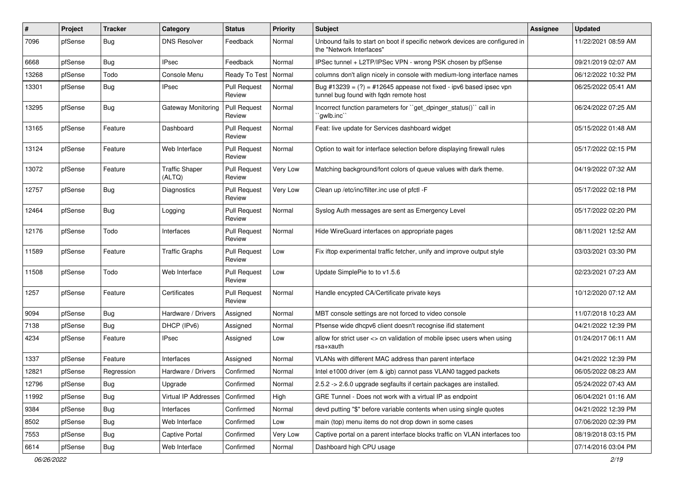| #     | Project | <b>Tracker</b> | Category                        | <b>Status</b>                 | <b>Priority</b> | Subject                                                                                                        | Assignee | <b>Updated</b>      |
|-------|---------|----------------|---------------------------------|-------------------------------|-----------------|----------------------------------------------------------------------------------------------------------------|----------|---------------------|
| 7096  | pfSense | <b>Bug</b>     | <b>DNS Resolver</b>             | Feedback                      | Normal          | Unbound fails to start on boot if specific network devices are configured in<br>the "Network Interfaces"       |          | 11/22/2021 08:59 AM |
| 6668  | pfSense | Bug            | <b>IPsec</b>                    | Feedback                      | Normal          | IPSec tunnel + L2TP/IPSec VPN - wrong PSK chosen by pfSense                                                    |          | 09/21/2019 02:07 AM |
| 13268 | pfSense | Todo           | Console Menu                    | Ready To Test                 | Normal          | columns don't align nicely in console with medium-long interface names                                         |          | 06/12/2022 10:32 PM |
| 13301 | pfSense | <b>Bug</b>     | <b>IPsec</b>                    | <b>Pull Request</b><br>Review | Normal          | Bug #13239 = $(?)$ = #12645 appease not fixed - ipv6 based ipsec vpn<br>tunnel bug found with fqdn remote host |          | 06/25/2022 05:41 AM |
| 13295 | pfSense | Bug            | Gateway Monitoring              | <b>Pull Request</b><br>Review | Normal          | Incorrect function parameters for "get_dpinger_status()" call in<br>`qwlb.inc``                                |          | 06/24/2022 07:25 AM |
| 13165 | pfSense | Feature        | Dashboard                       | <b>Pull Request</b><br>Review | Normal          | Feat: live update for Services dashboard widget                                                                |          | 05/15/2022 01:48 AM |
| 13124 | pfSense | Feature        | Web Interface                   | <b>Pull Request</b><br>Review | Normal          | Option to wait for interface selection before displaying firewall rules                                        |          | 05/17/2022 02:15 PM |
| 13072 | pfSense | Feature        | <b>Traffic Shaper</b><br>(ALTQ) | <b>Pull Request</b><br>Review | Very Low        | Matching background/font colors of queue values with dark theme.                                               |          | 04/19/2022 07:32 AM |
| 12757 | pfSense | <b>Bug</b>     | Diagnostics                     | Pull Request<br>Review        | Very Low        | Clean up /etc/inc/filter.inc use of pfctl -F                                                                   |          | 05/17/2022 02:18 PM |
| 12464 | pfSense | Bug            | Logging                         | <b>Pull Request</b><br>Review | Normal          | Syslog Auth messages are sent as Emergency Level                                                               |          | 05/17/2022 02:20 PM |
| 12176 | pfSense | Todo           | Interfaces                      | <b>Pull Request</b><br>Review | Normal          | Hide WireGuard interfaces on appropriate pages                                                                 |          | 08/11/2021 12:52 AM |
| 11589 | pfSense | Feature        | <b>Traffic Graphs</b>           | <b>Pull Request</b><br>Review | Low             | Fix iftop experimental traffic fetcher, unify and improve output style                                         |          | 03/03/2021 03:30 PM |
| 11508 | pfSense | Todo           | Web Interface                   | <b>Pull Request</b><br>Review | Low             | Update SimplePie to to v1.5.6                                                                                  |          | 02/23/2021 07:23 AM |
| 1257  | pfSense | Feature        | Certificates                    | <b>Pull Request</b><br>Review | Normal          | Handle encypted CA/Certificate private keys                                                                    |          | 10/12/2020 07:12 AM |
| 9094  | pfSense | Bug            | Hardware / Drivers              | Assigned                      | Normal          | MBT console settings are not forced to video console                                                           |          | 11/07/2018 10:23 AM |
| 7138  | pfSense | <b>Bug</b>     | DHCP (IPv6)                     | Assigned                      | Normal          | Pfsense wide dhcpv6 client doesn't recognise ifid statement                                                    |          | 04/21/2022 12:39 PM |
| 4234  | pfSense | Feature        | <b>IPsec</b>                    | Assigned                      | Low             | allow for strict user <> cn validation of mobile ipsec users when using<br>rsa+xauth                           |          | 01/24/2017 06:11 AM |
| 1337  | pfSense | Feature        | Interfaces                      | Assigned                      | Normal          | VLANs with different MAC address than parent interface                                                         |          | 04/21/2022 12:39 PM |
| 12821 | pfSense | Regression     | Hardware / Drivers              | Confirmed                     | Normal          | Intel e1000 driver (em & igb) cannot pass VLAN0 tagged packets                                                 |          | 06/05/2022 08:23 AM |
| 12796 | pfSense | Bug            | Upgrade                         | Confirmed                     | Normal          | 2.5.2 -> 2.6.0 upgrade segfaults if certain packages are installed.                                            |          | 05/24/2022 07:43 AM |
| 11992 | pfSense | <b>Bug</b>     | Virtual IP Addresses            | Confirmed                     | High            | GRE Tunnel - Does not work with a virtual IP as endpoint                                                       |          | 06/04/2021 01:16 AM |
| 9384  | pfSense | <b>Bug</b>     | Interfaces                      | Confirmed                     | Normal          | devd putting "\$" before variable contents when using single quotes                                            |          | 04/21/2022 12:39 PM |
| 8502  | pfSense | Bug            | Web Interface                   | Confirmed                     | Low             | main (top) menu items do not drop down in some cases                                                           |          | 07/06/2020 02:39 PM |
| 7553  | pfSense | <b>Bug</b>     | <b>Captive Portal</b>           | Confirmed                     | Very Low        | Captive portal on a parent interface blocks traffic on VLAN interfaces too                                     |          | 08/19/2018 03:15 PM |
| 6614  | pfSense | <b>Bug</b>     | Web Interface                   | Confirmed                     | Normal          | Dashboard high CPU usage                                                                                       |          | 07/14/2016 03:04 PM |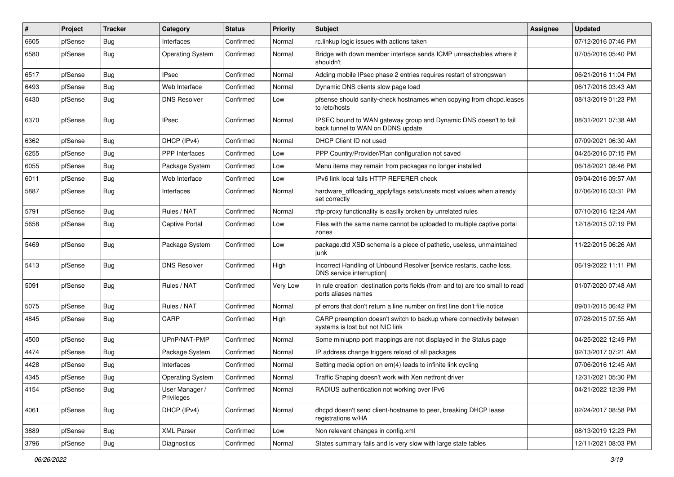| #    | Project | <b>Tracker</b> | Category                     | <b>Status</b> | <b>Priority</b> | <b>Subject</b>                                                                                          | <b>Assignee</b> | <b>Updated</b>      |
|------|---------|----------------|------------------------------|---------------|-----------------|---------------------------------------------------------------------------------------------------------|-----------------|---------------------|
| 6605 | pfSense | <b>Bug</b>     | Interfaces                   | Confirmed     | Normal          | rc.linkup logic issues with actions taken                                                               |                 | 07/12/2016 07:46 PM |
| 6580 | pfSense | <b>Bug</b>     | <b>Operating System</b>      | Confirmed     | Normal          | Bridge with down member interface sends ICMP unreachables where it<br>shouldn't                         |                 | 07/05/2016 05:40 PM |
| 6517 | pfSense | Bug            | <b>IPsec</b>                 | Confirmed     | Normal          | Adding mobile IPsec phase 2 entries requires restart of strongswan                                      |                 | 06/21/2016 11:04 PM |
| 6493 | pfSense | Bug            | Web Interface                | Confirmed     | Normal          | Dynamic DNS clients slow page load                                                                      |                 | 06/17/2016 03:43 AM |
| 6430 | pfSense | Bug            | <b>DNS Resolver</b>          | Confirmed     | Low             | pfsense should sanity-check hostnames when copying from dhcpd.leases<br>to /etc/hosts                   |                 | 08/13/2019 01:23 PM |
| 6370 | pfSense | Bug            | <b>IPsec</b>                 | Confirmed     | Normal          | IPSEC bound to WAN gateway group and Dynamic DNS doesn't to fail<br>back tunnel to WAN on DDNS update   |                 | 08/31/2021 07:38 AM |
| 6362 | pfSense | Bug            | DHCP (IPv4)                  | Confirmed     | Normal          | DHCP Client ID not used                                                                                 |                 | 07/09/2021 06:30 AM |
| 6255 | pfSense | <b>Bug</b>     | PPP Interfaces               | Confirmed     | Low             | PPP Country/Provider/Plan configuration not saved                                                       |                 | 04/25/2016 07:15 PM |
| 6055 | pfSense | Bug            | Package System               | Confirmed     | Low             | Menu items may remain from packages no longer installed                                                 |                 | 06/18/2021 08:46 PM |
| 6011 | pfSense | <b>Bug</b>     | Web Interface                | Confirmed     | Low             | IPv6 link local fails HTTP REFERER check                                                                |                 | 09/04/2016 09:57 AM |
| 5887 | pfSense | <b>Bug</b>     | Interfaces                   | Confirmed     | Normal          | hardware_offloading_applyflags sets/unsets most values when already<br>set correctly                    |                 | 07/06/2016 03:31 PM |
| 5791 | pfSense | Bug            | Rules / NAT                  | Confirmed     | Normal          | tftp-proxy functionality is easilly broken by unrelated rules                                           |                 | 07/10/2016 12:24 AM |
| 5658 | pfSense | <b>Bug</b>     | <b>Captive Portal</b>        | Confirmed     | Low             | Files with the same name cannot be uploaded to multiple captive portal<br>zones                         |                 | 12/18/2015 07:19 PM |
| 5469 | pfSense | Bug            | Package System               | Confirmed     | Low             | package.dtd XSD schema is a piece of pathetic, useless, unmaintained<br>iunk                            |                 | 11/22/2015 06:26 AM |
| 5413 | pfSense | Bug            | <b>DNS Resolver</b>          | Confirmed     | High            | Incorrect Handling of Unbound Resolver [service restarts, cache loss,<br>DNS service interruption]      |                 | 06/19/2022 11:11 PM |
| 5091 | pfSense | Bug            | Rules / NAT                  | Confirmed     | Very Low        | In rule creation destination ports fields (from and to) are too small to read<br>ports aliases names    |                 | 01/07/2020 07:48 AM |
| 5075 | pfSense | <b>Bug</b>     | Rules / NAT                  | Confirmed     | Normal          | pf errors that don't return a line number on first line don't file notice                               |                 | 09/01/2015 06:42 PM |
| 4845 | pfSense | Bug            | CARP                         | Confirmed     | High            | CARP preemption doesn't switch to backup where connectivity between<br>systems is lost but not NIC link |                 | 07/28/2015 07:55 AM |
| 4500 | pfSense | Bug            | UPnP/NAT-PMP                 | Confirmed     | Normal          | Some miniupnp port mappings are not displayed in the Status page                                        |                 | 04/25/2022 12:49 PM |
| 4474 | pfSense | Bug            | Package System               | Confirmed     | Normal          | IP address change triggers reload of all packages                                                       |                 | 02/13/2017 07:21 AM |
| 4428 | pfSense | <b>Bug</b>     | Interfaces                   | Confirmed     | Normal          | Setting media option on em(4) leads to infinite link cycling                                            |                 | 07/06/2016 12:45 AM |
| 4345 | pfSense | <b>Bug</b>     | <b>Operating System</b>      | Confirmed     | Normal          | Traffic Shaping doesn't work with Xen netfront driver                                                   |                 | 12/31/2021 05:30 PM |
| 4154 | pfSense | <b>Bug</b>     | User Manager /<br>Privileges | Confirmed     | Normal          | RADIUS authentication not working over IPv6                                                             |                 | 04/21/2022 12:39 PM |
| 4061 | pfSense | Bug            | DHCP (IPv4)                  | Confirmed     | Normal          | dhcpd doesn't send client-hostname to peer, breaking DHCP lease<br>registrations w/HA                   |                 | 02/24/2017 08:58 PM |
| 3889 | pfSense | Bug            | <b>XML Parser</b>            | Confirmed     | Low             | Non relevant changes in config.xml                                                                      |                 | 08/13/2019 12:23 PM |
| 3796 | pfSense | <b>Bug</b>     | Diagnostics                  | Confirmed     | Normal          | States summary fails and is very slow with large state tables                                           |                 | 12/11/2021 08:03 PM |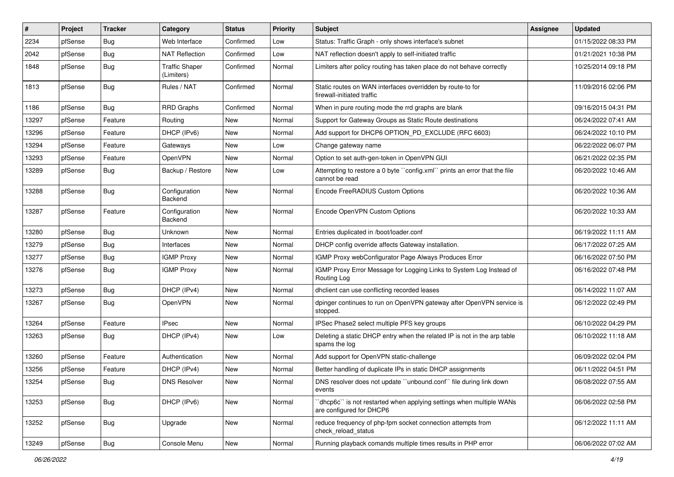| #     | Project | <b>Tracker</b> | Category                            | <b>Status</b> | <b>Priority</b> | <b>Subject</b>                                                                                  | <b>Assignee</b> | <b>Updated</b>      |
|-------|---------|----------------|-------------------------------------|---------------|-----------------|-------------------------------------------------------------------------------------------------|-----------------|---------------------|
| 2234  | pfSense | <b>Bug</b>     | Web Interface                       | Confirmed     | Low             | Status: Traffic Graph - only shows interface's subnet                                           |                 | 01/15/2022 08:33 PM |
| 2042  | pfSense | Bug            | <b>NAT Reflection</b>               | Confirmed     | Low             | NAT reflection doesn't apply to self-initiated traffic                                          |                 | 01/21/2021 10:38 PM |
| 1848  | pfSense | <b>Bug</b>     | <b>Traffic Shaper</b><br>(Limiters) | Confirmed     | Normal          | Limiters after policy routing has taken place do not behave correctly                           |                 | 10/25/2014 09:18 PM |
| 1813  | pfSense | Bug            | Rules / NAT                         | Confirmed     | Normal          | Static routes on WAN interfaces overridden by route-to for<br>firewall-initiated traffic        |                 | 11/09/2016 02:06 PM |
| 1186  | pfSense | <b>Bug</b>     | <b>RRD Graphs</b>                   | Confirmed     | Normal          | When in pure routing mode the rrd graphs are blank                                              |                 | 09/16/2015 04:31 PM |
| 13297 | pfSense | Feature        | Routing                             | <b>New</b>    | Normal          | Support for Gateway Groups as Static Route destinations                                         |                 | 06/24/2022 07:41 AM |
| 13296 | pfSense | Feature        | DHCP (IPv6)                         | New           | Normal          | Add support for DHCP6 OPTION_PD_EXCLUDE (RFC 6603)                                              |                 | 06/24/2022 10:10 PM |
| 13294 | pfSense | Feature        | Gateways                            | New           | Low             | Change gateway name                                                                             |                 | 06/22/2022 06:07 PM |
| 13293 | pfSense | Feature        | OpenVPN                             | New           | Normal          | Option to set auth-gen-token in OpenVPN GUI                                                     |                 | 06/21/2022 02:35 PM |
| 13289 | pfSense | <b>Bug</b>     | Backup / Restore                    | New           | Low             | Attempting to restore a 0 byte "config.xml" prints an error that the file<br>cannot be read     |                 | 06/20/2022 10:46 AM |
| 13288 | pfSense | Bug            | Configuration<br>Backend            | <b>New</b>    | Normal          | Encode FreeRADIUS Custom Options                                                                |                 | 06/20/2022 10:36 AM |
| 13287 | pfSense | Feature        | Configuration<br>Backend            | <b>New</b>    | Normal          | Encode OpenVPN Custom Options                                                                   |                 | 06/20/2022 10:33 AM |
| 13280 | pfSense | <b>Bug</b>     | Unknown                             | <b>New</b>    | Normal          | Entries duplicated in /boot/loader.conf                                                         |                 | 06/19/2022 11:11 AM |
| 13279 | pfSense | Bug            | Interfaces                          | <b>New</b>    | Normal          | DHCP config override affects Gateway installation.                                              |                 | 06/17/2022 07:25 AM |
| 13277 | pfSense | <b>Bug</b>     | <b>IGMP Proxy</b>                   | New           | Normal          | IGMP Proxy webConfigurator Page Always Produces Error                                           |                 | 06/16/2022 07:50 PM |
| 13276 | pfSense | Bug            | <b>IGMP Proxy</b>                   | New           | Normal          | IGMP Proxy Error Message for Logging Links to System Log Instead of<br>Routing Log              |                 | 06/16/2022 07:48 PM |
| 13273 | pfSense | <b>Bug</b>     | DHCP (IPv4)                         | <b>New</b>    | Normal          | dhclient can use conflicting recorded leases                                                    |                 | 06/14/2022 11:07 AM |
| 13267 | pfSense | Bug            | OpenVPN                             | <b>New</b>    | Normal          | dpinger continues to run on OpenVPN gateway after OpenVPN service is<br>stopped.                |                 | 06/12/2022 02:49 PM |
| 13264 | pfSense | Feature        | <b>IPsec</b>                        | <b>New</b>    | Normal          | IPSec Phase2 select multiple PFS key groups                                                     |                 | 06/10/2022 04:29 PM |
| 13263 | pfSense | <b>Bug</b>     | DHCP (IPv4)                         | <b>New</b>    | Low             | Deleting a static DHCP entry when the related IP is not in the arp table<br>spams the log       |                 | 06/10/2022 11:18 AM |
| 13260 | pfSense | Feature        | Authentication                      | <b>New</b>    | Normal          | Add support for OpenVPN static-challenge                                                        |                 | 06/09/2022 02:04 PM |
| 13256 | pfSense | Feature        | DHCP (IPv4)                         | New           | Normal          | Better handling of duplicate IPs in static DHCP assignments                                     |                 | 06/11/2022 04:51 PM |
| 13254 | pfSense | <b>Bug</b>     | <b>DNS Resolver</b>                 | New           | Normal          | DNS resolver does not update "unbound.conf" file during link down<br>events                     |                 | 06/08/2022 07:55 AM |
| 13253 | pfSense | <b>Bug</b>     | DHCP (IPv6)                         | New           | Normal          | 'dhcp6c' is not restarted when applying settings when multiple WANs<br>are configured for DHCP6 |                 | 06/06/2022 02:58 PM |
| 13252 | pfSense | <b>Bug</b>     | Upgrade                             | New           | Normal          | reduce frequency of php-fpm socket connection attempts from<br>check reload status              |                 | 06/12/2022 11:11 AM |
| 13249 | pfSense | <b>Bug</b>     | Console Menu                        | New           | Normal          | Running playback comands multiple times results in PHP error                                    |                 | 06/06/2022 07:02 AM |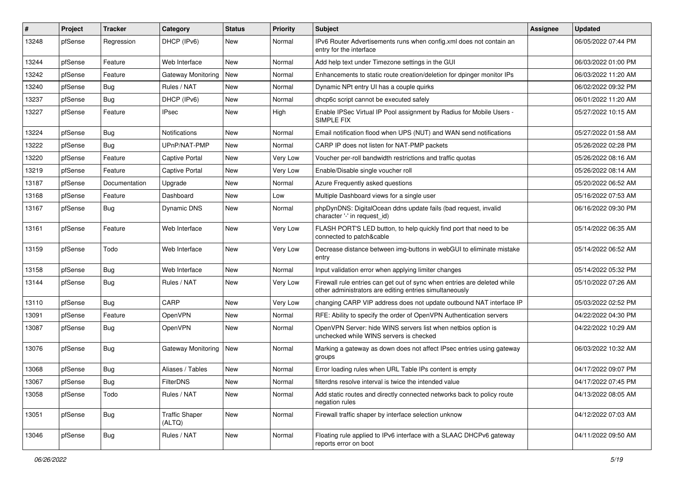| #     | Project | <b>Tracker</b> | Category                        | <b>Status</b> | <b>Priority</b> | <b>Subject</b>                                                                                                                      | <b>Assignee</b> | <b>Updated</b>      |
|-------|---------|----------------|---------------------------------|---------------|-----------------|-------------------------------------------------------------------------------------------------------------------------------------|-----------------|---------------------|
| 13248 | pfSense | Regression     | DHCP (IPv6)                     | New           | Normal          | IPv6 Router Advertisements runs when config.xml does not contain an<br>entry for the interface                                      |                 | 06/05/2022 07:44 PM |
| 13244 | pfSense | Feature        | Web Interface                   | New           | Normal          | Add help text under Timezone settings in the GUI                                                                                    |                 | 06/03/2022 01:00 PM |
| 13242 | pfSense | Feature        | Gateway Monitoring              | <b>New</b>    | Normal          | Enhancements to static route creation/deletion for dpinger monitor IPs                                                              |                 | 06/03/2022 11:20 AM |
| 13240 | pfSense | Bug            | Rules / NAT                     | <b>New</b>    | Normal          | Dynamic NPt entry UI has a couple quirks                                                                                            |                 | 06/02/2022 09:32 PM |
| 13237 | pfSense | <b>Bug</b>     | DHCP (IPv6)                     | <b>New</b>    | Normal          | dhcp6c script cannot be executed safely                                                                                             |                 | 06/01/2022 11:20 AM |
| 13227 | pfSense | Feature        | IPsec                           | New           | High            | Enable IPSec Virtual IP Pool assignment by Radius for Mobile Users -<br>SIMPLE FIX                                                  |                 | 05/27/2022 10:15 AM |
| 13224 | pfSense | Bug            | Notifications                   | <b>New</b>    | Normal          | Email notification flood when UPS (NUT) and WAN send notifications                                                                  |                 | 05/27/2022 01:58 AM |
| 13222 | pfSense | <b>Bug</b>     | UPnP/NAT-PMP                    | <b>New</b>    | Normal          | CARP IP does not listen for NAT-PMP packets                                                                                         |                 | 05/26/2022 02:28 PM |
| 13220 | pfSense | Feature        | Captive Portal                  | New           | Very Low        | Voucher per-roll bandwidth restrictions and traffic quotas                                                                          |                 | 05/26/2022 08:16 AM |
| 13219 | pfSense | Feature        | <b>Captive Portal</b>           | New           | Very Low        | Enable/Disable single voucher roll                                                                                                  |                 | 05/26/2022 08:14 AM |
| 13187 | pfSense | Documentation  | Upgrade                         | <b>New</b>    | Normal          | Azure Frequently asked questions                                                                                                    |                 | 05/20/2022 06:52 AM |
| 13168 | pfSense | Feature        | Dashboard                       | New           | Low             | Multiple Dashboard views for a single user                                                                                          |                 | 05/16/2022 07:53 AM |
| 13167 | pfSense | <b>Bug</b>     | Dynamic DNS                     | New           | Normal          | phpDynDNS: DigitalOcean ddns update fails (bad request, invalid<br>character '-' in request_id)                                     |                 | 06/16/2022 09:30 PM |
| 13161 | pfSense | Feature        | Web Interface                   | <b>New</b>    | Very Low        | FLASH PORT'S LED button, to help quickly find port that need to be<br>connected to patch&cable                                      |                 | 05/14/2022 06:35 AM |
| 13159 | pfSense | Todo           | Web Interface                   | New           | <b>Very Low</b> | Decrease distance between img-buttons in webGUI to eliminate mistake<br>entry                                                       |                 | 05/14/2022 06:52 AM |
| 13158 | pfSense | Bug            | Web Interface                   | <b>New</b>    | Normal          | Input validation error when applying limiter changes                                                                                |                 | 05/14/2022 05:32 PM |
| 13144 | pfSense | <b>Bug</b>     | Rules / NAT                     | <b>New</b>    | Very Low        | Firewall rule entries can get out of sync when entries are deleted while<br>other administrators are editing entries simultaneously |                 | 05/10/2022 07:26 AM |
| 13110 | pfSense | Bug            | CARP                            | <b>New</b>    | Very Low        | changing CARP VIP address does not update outbound NAT interface IP                                                                 |                 | 05/03/2022 02:52 PM |
| 13091 | pfSense | Feature        | OpenVPN                         | New           | Normal          | RFE: Ability to specify the order of OpenVPN Authentication servers                                                                 |                 | 04/22/2022 04:30 PM |
| 13087 | pfSense | <b>Bug</b>     | <b>OpenVPN</b>                  | <b>New</b>    | Normal          | OpenVPN Server: hide WINS servers list when netbios option is<br>unchecked while WINS servers is checked                            |                 | 04/22/2022 10:29 AM |
| 13076 | pfSense | Bug            | <b>Gateway Monitoring</b>       | New           | Normal          | Marking a gateway as down does not affect IPsec entries using gateway<br>groups                                                     |                 | 06/03/2022 10:32 AM |
| 13068 | pfSense | <b>Bug</b>     | Aliases / Tables                | New           | Normal          | Error loading rules when URL Table IPs content is empty                                                                             |                 | 04/17/2022 09:07 PM |
| 13067 | pfSense | <b>Bug</b>     | FilterDNS                       | New           | Normal          | filterdns resolve interval is twice the intended value                                                                              |                 | 04/17/2022 07:45 PM |
| 13058 | pfSense | Todo           | Rules / NAT                     | New           | Normal          | Add static routes and directly connected networks back to policy route<br>negation rules                                            |                 | 04/13/2022 08:05 AM |
| 13051 | pfSense | Bug            | <b>Traffic Shaper</b><br>(ALTQ) | New           | Normal          | Firewall traffic shaper by interface selection unknow                                                                               |                 | 04/12/2022 07:03 AM |
| 13046 | pfSense | <b>Bug</b>     | Rules / NAT                     | New           | Normal          | Floating rule applied to IPv6 interface with a SLAAC DHCPv6 gateway<br>reports error on boot                                        |                 | 04/11/2022 09:50 AM |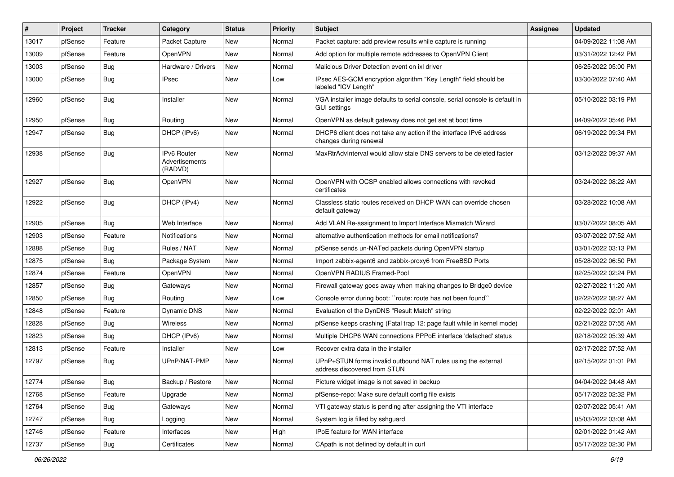| #     | Project | <b>Tracker</b> | Category                                        | <b>Status</b> | <b>Priority</b> | Subject                                                                                       | <b>Assignee</b> | <b>Updated</b>      |
|-------|---------|----------------|-------------------------------------------------|---------------|-----------------|-----------------------------------------------------------------------------------------------|-----------------|---------------------|
| 13017 | pfSense | Feature        | Packet Capture                                  | New           | Normal          | Packet capture: add preview results while capture is running                                  |                 | 04/09/2022 11:08 AM |
| 13009 | pfSense | Feature        | OpenVPN                                         | <b>New</b>    | Normal          | Add option for multiple remote addresses to OpenVPN Client                                    |                 | 03/31/2022 12:42 PM |
| 13003 | pfSense | <b>Bug</b>     | Hardware / Drivers                              | New           | Normal          | Malicious Driver Detection event on ixl driver                                                |                 | 06/25/2022 05:00 PM |
| 13000 | pfSense | <b>Bug</b>     | IPsec                                           | New           | Low             | IPsec AES-GCM encryption algorithm "Key Length" field should be<br>labeled "ICV Length"       |                 | 03/30/2022 07:40 AM |
| 12960 | pfSense | Bug            | Installer                                       | <b>New</b>    | Normal          | VGA installer image defaults to serial console, serial console is default in<br>GUI settings  |                 | 05/10/2022 03:19 PM |
| 12950 | pfSense | Bug            | Routing                                         | <b>New</b>    | Normal          | OpenVPN as default gateway does not get set at boot time                                      |                 | 04/09/2022 05:46 PM |
| 12947 | pfSense | <b>Bug</b>     | DHCP (IPv6)                                     | New           | Normal          | DHCP6 client does not take any action if the interface IPv6 address<br>changes during renewal |                 | 06/19/2022 09:34 PM |
| 12938 | pfSense | Bug            | <b>IPv6 Router</b><br>Advertisements<br>(RADVD) | New           | Normal          | MaxRtrAdvInterval would allow stale DNS servers to be deleted faster                          |                 | 03/12/2022 09:37 AM |
| 12927 | pfSense | Bug            | OpenVPN                                         | New           | Normal          | OpenVPN with OCSP enabled allows connections with revoked<br>certificates                     |                 | 03/24/2022 08:22 AM |
| 12922 | pfSense | Bug            | DHCP (IPv4)                                     | New           | Normal          | Classless static routes received on DHCP WAN can override chosen<br>default gateway           |                 | 03/28/2022 10:08 AM |
| 12905 | pfSense | <b>Bug</b>     | Web Interface                                   | New           | Normal          | Add VLAN Re-assignment to Import Interface Mismatch Wizard                                    |                 | 03/07/2022 08:05 AM |
| 12903 | pfSense | Feature        | <b>Notifications</b>                            | <b>New</b>    | Normal          | alternative authentication methods for email notifications?                                   |                 | 03/07/2022 07:52 AM |
| 12888 | pfSense | <b>Bug</b>     | Rules / NAT                                     | New           | Normal          | pfSense sends un-NATed packets during OpenVPN startup                                         |                 | 03/01/2022 03:13 PM |
| 12875 | pfSense | Bug            | Package System                                  | New           | Normal          | Import zabbix-agent6 and zabbix-proxy6 from FreeBSD Ports                                     |                 | 05/28/2022 06:50 PM |
| 12874 | pfSense | Feature        | OpenVPN                                         | New           | Normal          | OpenVPN RADIUS Framed-Pool                                                                    |                 | 02/25/2022 02:24 PM |
| 12857 | pfSense | <b>Bug</b>     | Gateways                                        | New           | Normal          | Firewall gateway goes away when making changes to Bridge0 device                              |                 | 02/27/2022 11:20 AM |
| 12850 | pfSense | <b>Bug</b>     | Routing                                         | New           | Low             | Console error during boot: "route: route has not been found"                                  |                 | 02/22/2022 08:27 AM |
| 12848 | pfSense | Feature        | Dynamic DNS                                     | New           | Normal          | Evaluation of the DynDNS "Result Match" string                                                |                 | 02/22/2022 02:01 AM |
| 12828 | pfSense | <b>Bug</b>     | <b>Wireless</b>                                 | New           | Normal          | pfSense keeps crashing (Fatal trap 12: page fault while in kernel mode)                       |                 | 02/21/2022 07:55 AM |
| 12823 | pfSense | <b>Bug</b>     | DHCP (IPv6)                                     | New           | Normal          | Multiple DHCP6 WAN connections PPPoE interface 'defached' status                              |                 | 02/18/2022 05:39 AM |
| 12813 | pfSense | Feature        | Installer                                       | New           | Low             | Recover extra data in the installer                                                           |                 | 02/17/2022 07:52 AM |
| 12797 | pfSense | <b>Bug</b>     | UPnP/NAT-PMP                                    | New           | Normal          | UPnP+STUN forms invalid outbound NAT rules using the external<br>address discovered from STUN |                 | 02/15/2022 01:01 PM |
| 12774 | pfSense | <b>Bug</b>     | Backup / Restore                                | New           | Normal          | Picture widget image is not saved in backup                                                   |                 | 04/04/2022 04:48 AM |
| 12768 | pfSense | Feature        | Upgrade                                         | New           | Normal          | pfSense-repo: Make sure default config file exists                                            |                 | 05/17/2022 02:32 PM |
| 12764 | pfSense | <b>Bug</b>     | Gateways                                        | New           | Normal          | VTI gateway status is pending after assigning the VTI interface                               |                 | 02/07/2022 05:41 AM |
| 12747 | pfSense | Bug            | Logging                                         | New           | Normal          | System log is filled by sshguard                                                              |                 | 05/03/2022 03:08 AM |
| 12746 | pfSense | Feature        | Interfaces                                      | New           | High            | IPoE feature for WAN interface                                                                |                 | 02/01/2022 01:42 AM |
| 12737 | pfSense | Bug            | Certificates                                    | New           | Normal          | CApath is not defined by default in curl                                                      |                 | 05/17/2022 02:30 PM |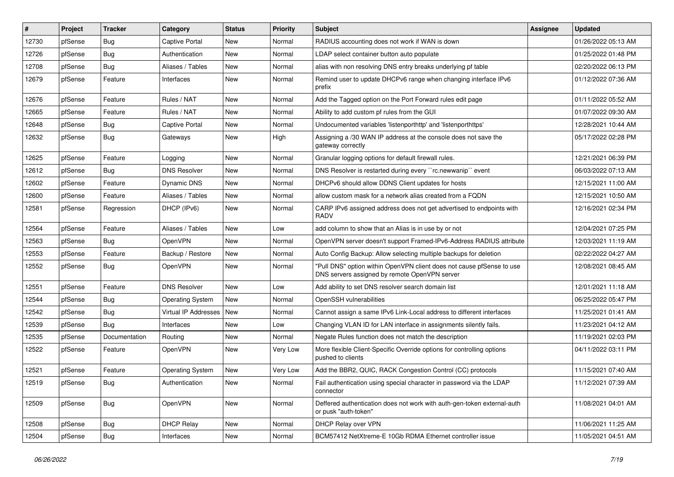| #     | Project | <b>Tracker</b> | Category                | <b>Status</b> | <b>Priority</b> | Subject                                                                                                                | <b>Assignee</b> | <b>Updated</b>      |
|-------|---------|----------------|-------------------------|---------------|-----------------|------------------------------------------------------------------------------------------------------------------------|-----------------|---------------------|
| 12730 | pfSense | <b>Bug</b>     | <b>Captive Portal</b>   | New           | Normal          | RADIUS accounting does not work if WAN is down                                                                         |                 | 01/26/2022 05:13 AM |
| 12726 | pfSense | <b>Bug</b>     | Authentication          | <b>New</b>    | Normal          | LDAP select container button auto populate                                                                             |                 | 01/25/2022 01:48 PM |
| 12708 | pfSense | <b>Bug</b>     | Aliases / Tables        | New           | Normal          | alias with non resolving DNS entry breaks underlying pf table                                                          |                 | 02/20/2022 06:13 PM |
| 12679 | pfSense | Feature        | Interfaces              | <b>New</b>    | Normal          | Remind user to update DHCPv6 range when changing interface IPv6<br>prefix                                              |                 | 01/12/2022 07:36 AM |
| 12676 | pfSense | Feature        | Rules / NAT             | <b>New</b>    | Normal          | Add the Tagged option on the Port Forward rules edit page                                                              |                 | 01/11/2022 05:52 AM |
| 12665 | pfSense | Feature        | Rules / NAT             | New           | Normal          | Ability to add custom pf rules from the GUI                                                                            |                 | 01/07/2022 09:30 AM |
| 12648 | pfSense | <b>Bug</b>     | <b>Captive Portal</b>   | <b>New</b>    | Normal          | Undocumented variables 'listenporthttp' and 'listenporthttps'                                                          |                 | 12/28/2021 10:44 AM |
| 12632 | pfSense | Bug            | Gateways                | New           | High            | Assigning a /30 WAN IP address at the console does not save the<br>gateway correctly                                   |                 | 05/17/2022 02:28 PM |
| 12625 | pfSense | Feature        | Logging                 | New           | Normal          | Granular logging options for default firewall rules.                                                                   |                 | 12/21/2021 06:39 PM |
| 12612 | pfSense | <b>Bug</b>     | <b>DNS Resolver</b>     | <b>New</b>    | Normal          | DNS Resolver is restarted during every "rc.newwanip" event                                                             |                 | 06/03/2022 07:13 AM |
| 12602 | pfSense | Feature        | Dynamic DNS             | <b>New</b>    | Normal          | DHCPv6 should allow DDNS Client updates for hosts                                                                      |                 | 12/15/2021 11:00 AM |
| 12600 | pfSense | Feature        | Aliases / Tables        | New           | Normal          | allow custom mask for a network alias created from a FQDN                                                              |                 | 12/15/2021 10:50 AM |
| 12581 | pfSense | Regression     | DHCP (IPv6)             | New           | Normal          | CARP IPv6 assigned address does not get advertised to endpoints with<br><b>RADV</b>                                    |                 | 12/16/2021 02:34 PM |
| 12564 | pfSense | Feature        | Aliases / Tables        | New           | Low             | add column to show that an Alias is in use by or not                                                                   |                 | 12/04/2021 07:25 PM |
| 12563 | pfSense | <b>Bug</b>     | OpenVPN                 | <b>New</b>    | Normal          | OpenVPN server doesn't support Framed-IPv6-Address RADIUS attribute                                                    |                 | 12/03/2021 11:19 AM |
| 12553 | pfSense | Feature        | Backup / Restore        | New           | Normal          | Auto Config Backup: Allow selecting multiple backups for deletion                                                      |                 | 02/22/2022 04:27 AM |
| 12552 | pfSense | <b>Bug</b>     | OpenVPN                 | New           | Normal          | "Pull DNS" option within OpenVPN client does not cause pfSense to use<br>DNS servers assigned by remote OpenVPN server |                 | 12/08/2021 08:45 AM |
| 12551 | pfSense | Feature        | <b>DNS Resolver</b>     | <b>New</b>    | Low             | Add ability to set DNS resolver search domain list                                                                     |                 | 12/01/2021 11:18 AM |
| 12544 | pfSense | <b>Bug</b>     | <b>Operating System</b> | New           | Normal          | OpenSSH vulnerabilities                                                                                                |                 | 06/25/2022 05:47 PM |
| 12542 | pfSense | <b>Bug</b>     | Virtual IP Addresses    | <b>New</b>    | Normal          | Cannot assign a same IPv6 Link-Local address to different interfaces                                                   |                 | 11/25/2021 01:41 AM |
| 12539 | pfSense | <b>Bug</b>     | Interfaces              | <b>New</b>    | Low             | Changing VLAN ID for LAN interface in assignments silently fails.                                                      |                 | 11/23/2021 04:12 AM |
| 12535 | pfSense | Documentation  | Routing                 | <b>New</b>    | Normal          | Negate Rules function does not match the description                                                                   |                 | 11/19/2021 02:03 PM |
| 12522 | pfSense | Feature        | OpenVPN                 | <b>New</b>    | Very Low        | More flexible Client-Specific Override options for controlling options<br>pushed to clients                            |                 | 04/11/2022 03:11 PM |
| 12521 | pfSense | Feature        | <b>Operating System</b> | New           | Very Low        | Add the BBR2, QUIC, RACK Congestion Control (CC) protocols                                                             |                 | 11/15/2021 07:40 AM |
| 12519 | pfSense | Bug            | Authentication          | New           | Normal          | Fail authentication using special character in password via the LDAP<br>connector                                      |                 | 11/12/2021 07:39 AM |
| 12509 | pfSense | Bug            | OpenVPN                 | New           | Normal          | Deffered authentication does not work with auth-gen-token external-auth<br>or pusk "auth-token"                        |                 | 11/08/2021 04:01 AM |
| 12508 | pfSense | <b>Bug</b>     | <b>DHCP Relay</b>       | New           | Normal          | DHCP Relay over VPN                                                                                                    |                 | 11/06/2021 11:25 AM |
| 12504 | pfSense | Bug            | Interfaces              | New           | Normal          | BCM57412 NetXtreme-E 10Gb RDMA Ethernet controller issue                                                               |                 | 11/05/2021 04:51 AM |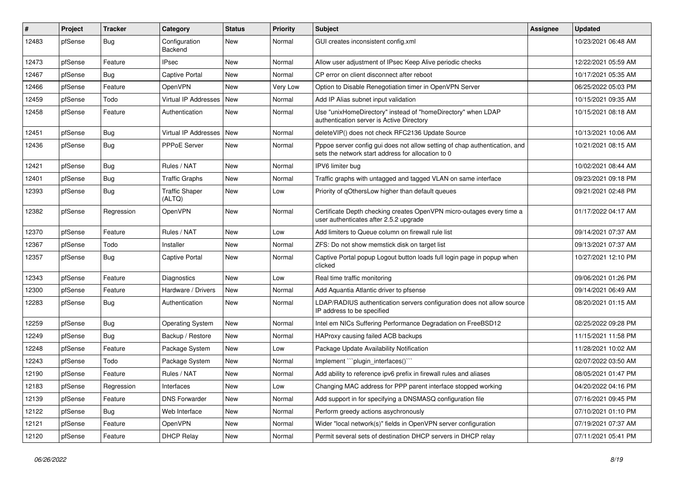| #     | Project | <b>Tracker</b> | Category                        | <b>Status</b> | <b>Priority</b> | <b>Subject</b>                                                                                                                   | <b>Assignee</b> | <b>Updated</b>      |
|-------|---------|----------------|---------------------------------|---------------|-----------------|----------------------------------------------------------------------------------------------------------------------------------|-----------------|---------------------|
| 12483 | pfSense | <b>Bug</b>     | Configuration<br>Backend        | <b>New</b>    | Normal          | GUI creates inconsistent config.xml                                                                                              |                 | 10/23/2021 06:48 AM |
| 12473 | pfSense | Feature        | IPsec                           | <b>New</b>    | Normal          | Allow user adjustment of IPsec Keep Alive periodic checks                                                                        |                 | 12/22/2021 05:59 AM |
| 12467 | pfSense | Bug            | <b>Captive Portal</b>           | <b>New</b>    | Normal          | CP error on client disconnect after reboot                                                                                       |                 | 10/17/2021 05:35 AM |
| 12466 | pfSense | Feature        | OpenVPN                         | <b>New</b>    | <b>Very Low</b> | Option to Disable Renegotiation timer in OpenVPN Server                                                                          |                 | 06/25/2022 05:03 PM |
| 12459 | pfSense | Todo           | Virtual IP Addresses   New      |               | Normal          | Add IP Alias subnet input validation                                                                                             |                 | 10/15/2021 09:35 AM |
| 12458 | pfSense | Feature        | Authentication                  | <b>New</b>    | Normal          | Use "unixHomeDirectory" instead of "homeDirectory" when LDAP<br>authentication server is Active Directory                        |                 | 10/15/2021 08:18 AM |
| 12451 | pfSense | <b>Bug</b>     | Virtual IP Addresses New        |               | Normal          | deleteVIP() does not check RFC2136 Update Source                                                                                 |                 | 10/13/2021 10:06 AM |
| 12436 | pfSense | Bug            | PPPoE Server                    | New           | Normal          | Pppoe server config gui does not allow setting of chap authentication, and<br>sets the network start address for allocation to 0 |                 | 10/21/2021 08:15 AM |
| 12421 | pfSense | <b>Bug</b>     | Rules / NAT                     | <b>New</b>    | Normal          | IPV6 limiter bug                                                                                                                 |                 | 10/02/2021 08:44 AM |
| 12401 | pfSense | <b>Bug</b>     | <b>Traffic Graphs</b>           | <b>New</b>    | Normal          | Traffic graphs with untagged and tagged VLAN on same interface                                                                   |                 | 09/23/2021 09:18 PM |
| 12393 | pfSense | Bug            | <b>Traffic Shaper</b><br>(ALTQ) | New           | Low             | Priority of gOthersLow higher than default queues                                                                                |                 | 09/21/2021 02:48 PM |
| 12382 | pfSense | Regression     | OpenVPN                         | New           | Normal          | Certificate Depth checking creates OpenVPN micro-outages every time a<br>user authenticates after 2.5.2 upgrade                  |                 | 01/17/2022 04:17 AM |
| 12370 | pfSense | Feature        | Rules / NAT                     | <b>New</b>    | Low             | Add limiters to Queue column on firewall rule list                                                                               |                 | 09/14/2021 07:37 AM |
| 12367 | pfSense | Todo           | Installer                       | New           | Normal          | ZFS: Do not show memstick disk on target list                                                                                    |                 | 09/13/2021 07:37 AM |
| 12357 | pfSense | <b>Bug</b>     | <b>Captive Portal</b>           | New           | Normal          | Captive Portal popup Logout button loads full login page in popup when<br>clicked                                                |                 | 10/27/2021 12:10 PM |
| 12343 | pfSense | Feature        | Diagnostics                     | <b>New</b>    | Low             | Real time traffic monitoring                                                                                                     |                 | 09/06/2021 01:26 PM |
| 12300 | pfSense | Feature        | Hardware / Drivers              | New           | Normal          | Add Aquantia Atlantic driver to pfsense                                                                                          |                 | 09/14/2021 06:49 AM |
| 12283 | pfSense | Bug            | Authentication                  | New           | Normal          | LDAP/RADIUS authentication servers configuration does not allow source<br>IP address to be specified                             |                 | 08/20/2021 01:15 AM |
| 12259 | pfSense | Bug            | <b>Operating System</b>         | <b>New</b>    | Normal          | Intel em NICs Suffering Performance Degradation on FreeBSD12                                                                     |                 | 02/25/2022 09:28 PM |
| 12249 | pfSense | Bug            | Backup / Restore                | New           | Normal          | HAProxy causing failed ACB backups                                                                                               |                 | 11/15/2021 11:58 PM |
| 12248 | pfSense | Feature        | Package System                  | <b>New</b>    | Low             | Package Update Availability Notification                                                                                         |                 | 11/28/2021 10:02 AM |
| 12243 | pfSense | Todo           | Package System                  | <b>New</b>    | Normal          | Implement "``plugin_interfaces()```                                                                                              |                 | 02/07/2022 03:50 AM |
| 12190 | pfSense | Feature        | Rules / NAT                     | New           | Normal          | Add ability to reference ipv6 prefix in firewall rules and aliases                                                               |                 | 08/05/2021 01:47 PM |
| 12183 | pfSense | Regression     | Interfaces                      | New           | Low             | Changing MAC address for PPP parent interface stopped working                                                                    |                 | 04/20/2022 04:16 PM |
| 12139 | pfSense | Feature        | <b>DNS Forwarder</b>            | New           | Normal          | Add support in for specifying a DNSMASQ configuration file                                                                       |                 | 07/16/2021 09:45 PM |
| 12122 | pfSense | <b>Bug</b>     | Web Interface                   | New           | Normal          | Perform greedy actions asychronously                                                                                             |                 | 07/10/2021 01:10 PM |
| 12121 | pfSense | Feature        | OpenVPN                         | New           | Normal          | Wider "local network(s)" fields in OpenVPN server configuration                                                                  |                 | 07/19/2021 07:37 AM |
| 12120 | pfSense | Feature        | <b>DHCP Relay</b>               | New           | Normal          | Permit several sets of destination DHCP servers in DHCP relay                                                                    |                 | 07/11/2021 05:41 PM |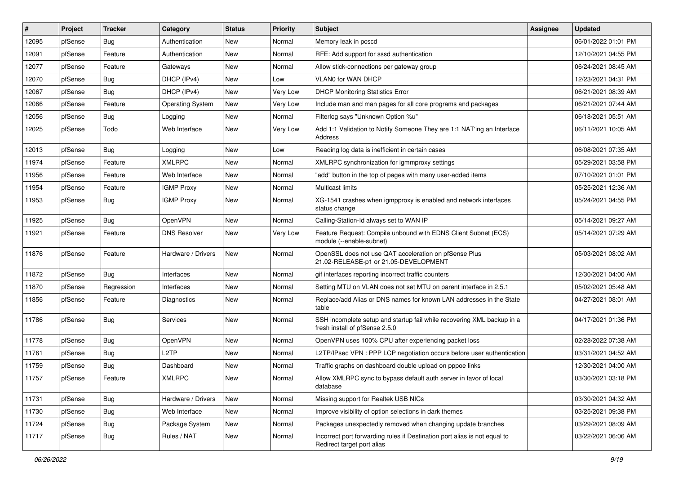| #     | Project | <b>Tracker</b> | Category                | <b>Status</b> | <b>Priority</b> | <b>Subject</b>                                                                                           | <b>Assignee</b> | <b>Updated</b>      |
|-------|---------|----------------|-------------------------|---------------|-----------------|----------------------------------------------------------------------------------------------------------|-----------------|---------------------|
| 12095 | pfSense | Bug            | Authentication          | New           | Normal          | Memory leak in pcscd                                                                                     |                 | 06/01/2022 01:01 PM |
| 12091 | pfSense | Feature        | Authentication          | <b>New</b>    | Normal          | RFE: Add support for sssd authentication                                                                 |                 | 12/10/2021 04:55 PM |
| 12077 | pfSense | Feature        | Gateways                | New           | Normal          | Allow stick-connections per gateway group                                                                |                 | 06/24/2021 08:45 AM |
| 12070 | pfSense | Bug            | DHCP (IPv4)             | New           | Low             | VLAN0 for WAN DHCP                                                                                       |                 | 12/23/2021 04:31 PM |
| 12067 | pfSense | Bug            | DHCP (IPv4)             | <b>New</b>    | <b>Very Low</b> | <b>DHCP Monitoring Statistics Error</b>                                                                  |                 | 06/21/2021 08:39 AM |
| 12066 | pfSense | Feature        | <b>Operating System</b> | <b>New</b>    | Very Low        | Include man and man pages for all core programs and packages                                             |                 | 06/21/2021 07:44 AM |
| 12056 | pfSense | Bug            | Logging                 | New           | Normal          | Filterlog says "Unknown Option %u"                                                                       |                 | 06/18/2021 05:51 AM |
| 12025 | pfSense | Todo           | Web Interface           | New           | Very Low        | Add 1:1 Validation to Notify Someone They are 1:1 NAT'ing an Interface<br>Address                        |                 | 06/11/2021 10:05 AM |
| 12013 | pfSense | Bug            | Logging                 | New           | Low             | Reading log data is inefficient in certain cases                                                         |                 | 06/08/2021 07:35 AM |
| 11974 | pfSense | Feature        | <b>XMLRPC</b>           | New           | Normal          | XMLRPC synchronization for igmmproxy settings                                                            |                 | 05/29/2021 03:58 PM |
| 11956 | pfSense | Feature        | Web Interface           | New           | Normal          | "add" button in the top of pages with many user-added items                                              |                 | 07/10/2021 01:01 PM |
| 11954 | pfSense | Feature        | <b>IGMP Proxy</b>       | New           | Normal          | <b>Multicast limits</b>                                                                                  |                 | 05/25/2021 12:36 AM |
| 11953 | pfSense | Bug            | <b>IGMP Proxy</b>       | New           | Normal          | XG-1541 crashes when igmpproxy is enabled and network interfaces<br>status change                        |                 | 05/24/2021 04:55 PM |
| 11925 | pfSense | Bug            | OpenVPN                 | New           | Normal          | Calling-Station-Id always set to WAN IP                                                                  |                 | 05/14/2021 09:27 AM |
| 11921 | pfSense | Feature        | <b>DNS Resolver</b>     | New           | Very Low        | Feature Request: Compile unbound with EDNS Client Subnet (ECS)<br>module (--enable-subnet)               |                 | 05/14/2021 07:29 AM |
| 11876 | pfSense | Feature        | Hardware / Drivers      | New           | Normal          | OpenSSL does not use QAT acceleration on pfSense Plus<br>21.02-RELEASE-p1 or 21.05-DEVELOPMENT           |                 | 05/03/2021 08:02 AM |
| 11872 | pfSense | Bug            | Interfaces              | <b>New</b>    | Normal          | gif interfaces reporting incorrect traffic counters                                                      |                 | 12/30/2021 04:00 AM |
| 11870 | pfSense | Regression     | Interfaces              | New           | Normal          | Setting MTU on VLAN does not set MTU on parent interface in 2.5.1                                        |                 | 05/02/2021 05:48 AM |
| 11856 | pfSense | Feature        | Diagnostics             | New           | Normal          | Replace/add Alias or DNS names for known LAN addresses in the State<br>table                             |                 | 04/27/2021 08:01 AM |
| 11786 | pfSense | Bug            | Services                | New           | Normal          | SSH incomplete setup and startup fail while recovering XML backup in a<br>fresh install of pfSense 2.5.0 |                 | 04/17/2021 01:36 PM |
| 11778 | pfSense | Bug            | OpenVPN                 | New           | Normal          | OpenVPN uses 100% CPU after experiencing packet loss                                                     |                 | 02/28/2022 07:38 AM |
| 11761 | pfSense | Bug            | L <sub>2</sub> TP       | New           | Normal          | L2TP/IPsec VPN : PPP LCP negotiation occurs before user authentication                                   |                 | 03/31/2021 04:52 AM |
| 11759 | pfSense | Bug            | Dashboard               | New           | Normal          | Traffic graphs on dashboard double upload on pppoe links                                                 |                 | 12/30/2021 04:00 AM |
| 11757 | pfSense | Feature        | <b>XMLRPC</b>           | New           | Normal          | Allow XMLRPC sync to bypass default auth server in favor of local<br>database                            |                 | 03/30/2021 03:18 PM |
| 11731 | pfSense | <b>Bug</b>     | Hardware / Drivers      | New           | Normal          | Missing support for Realtek USB NICs                                                                     |                 | 03/30/2021 04:32 AM |
| 11730 | pfSense | <b>Bug</b>     | Web Interface           | New           | Normal          | Improve visibility of option selections in dark themes                                                   |                 | 03/25/2021 09:38 PM |
| 11724 | pfSense | Bug            | Package System          | New           | Normal          | Packages unexpectedly removed when changing update branches                                              |                 | 03/29/2021 08:09 AM |
| 11717 | pfSense | <b>Bug</b>     | Rules / NAT             | New           | Normal          | Incorrect port forwarding rules if Destination port alias is not equal to<br>Redirect target port alias  |                 | 03/22/2021 06:06 AM |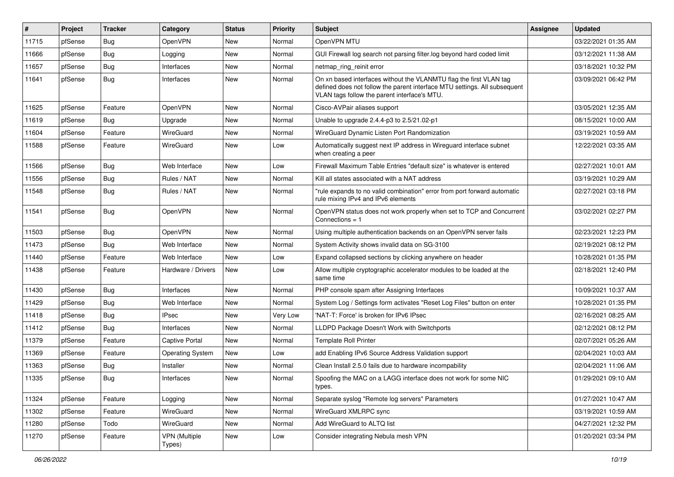| #     | Project | <b>Tracker</b> | Category                       | <b>Status</b> | <b>Priority</b> | <b>Subject</b>                                                                                                                                                                                  | Assignee | <b>Updated</b>      |
|-------|---------|----------------|--------------------------------|---------------|-----------------|-------------------------------------------------------------------------------------------------------------------------------------------------------------------------------------------------|----------|---------------------|
| 11715 | pfSense | Bug            | OpenVPN                        | New           | Normal          | OpenVPN MTU                                                                                                                                                                                     |          | 03/22/2021 01:35 AM |
| 11666 | pfSense | Bug            | Logging                        | <b>New</b>    | Normal          | GUI Firewall log search not parsing filter.log beyond hard coded limit                                                                                                                          |          | 03/12/2021 11:38 AM |
| 11657 | pfSense | <b>Bug</b>     | Interfaces                     | New           | Normal          | netmap_ring_reinit error                                                                                                                                                                        |          | 03/18/2021 10:32 PM |
| 11641 | pfSense | Bug            | Interfaces                     | New           | Normal          | On xn based interfaces without the VLANMTU flag the first VLAN tag<br>defined does not follow the parent interface MTU settings. All subsequent<br>VLAN tags follow the parent interface's MTU. |          | 03/09/2021 06:42 PM |
| 11625 | pfSense | Feature        | OpenVPN                        | <b>New</b>    | Normal          | Cisco-AVPair aliases support                                                                                                                                                                    |          | 03/05/2021 12:35 AM |
| 11619 | pfSense | Bug            | Upgrade                        | New           | Normal          | Unable to upgrade 2.4.4-p3 to 2.5/21.02-p1                                                                                                                                                      |          | 08/15/2021 10:00 AM |
| 11604 | pfSense | Feature        | WireGuard                      | New           | Normal          | WireGuard Dynamic Listen Port Randomization                                                                                                                                                     |          | 03/19/2021 10:59 AM |
| 11588 | pfSense | Feature        | WireGuard                      | New           | Low             | Automatically suggest next IP address in Wireguard interface subnet<br>when creating a peer                                                                                                     |          | 12/22/2021 03:35 AM |
| 11566 | pfSense | <b>Bug</b>     | Web Interface                  | New           | Low             | Firewall Maximum Table Entries "default size" is whatever is entered                                                                                                                            |          | 02/27/2021 10:01 AM |
| 11556 | pfSense | Bug            | Rules / NAT                    | <b>New</b>    | Normal          | Kill all states associated with a NAT address                                                                                                                                                   |          | 03/19/2021 10:29 AM |
| 11548 | pfSense | Bug            | Rules / NAT                    | New           | Normal          | "rule expands to no valid combination" error from port forward automatic<br>rule mixing IPv4 and IPv6 elements                                                                                  |          | 02/27/2021 03:18 PM |
| 11541 | pfSense | Bug            | <b>OpenVPN</b>                 | New           | Normal          | OpenVPN status does not work properly when set to TCP and Concurrent<br>Connections = 1                                                                                                         |          | 03/02/2021 02:27 PM |
| 11503 | pfSense | Bug            | OpenVPN                        | <b>New</b>    | Normal          | Using multiple authentication backends on an OpenVPN server fails                                                                                                                               |          | 02/23/2021 12:23 PM |
| 11473 | pfSense | Bug            | Web Interface                  | New           | Normal          | System Activity shows invalid data on SG-3100                                                                                                                                                   |          | 02/19/2021 08:12 PM |
| 11440 | pfSense | Feature        | Web Interface                  | New           | Low             | Expand collapsed sections by clicking anywhere on header                                                                                                                                        |          | 10/28/2021 01:35 PM |
| 11438 | pfSense | Feature        | Hardware / Drivers             | New           | Low             | Allow multiple cryptographic accelerator modules to be loaded at the<br>same time                                                                                                               |          | 02/18/2021 12:40 PM |
| 11430 | pfSense | Bug            | Interfaces                     | New           | Normal          | PHP console spam after Assigning Interfaces                                                                                                                                                     |          | 10/09/2021 10:37 AM |
| 11429 | pfSense | Bug            | Web Interface                  | New           | Normal          | System Log / Settings form activates "Reset Log Files" button on enter                                                                                                                          |          | 10/28/2021 01:35 PM |
| 11418 | pfSense | Bug            | IPsec                          | New           | Very Low        | 'NAT-T: Force' is broken for IPv6 IPsec                                                                                                                                                         |          | 02/16/2021 08:25 AM |
| 11412 | pfSense | Bug            | Interfaces                     | New           | Normal          | LLDPD Package Doesn't Work with Switchports                                                                                                                                                     |          | 02/12/2021 08:12 PM |
| 11379 | pfSense | Feature        | Captive Portal                 | New           | Normal          | <b>Template Roll Printer</b>                                                                                                                                                                    |          | 02/07/2021 05:26 AM |
| 11369 | pfSense | Feature        | <b>Operating System</b>        | New           | Low             | add Enabling IPv6 Source Address Validation support                                                                                                                                             |          | 02/04/2021 10:03 AM |
| 11363 | pfSense | Bug            | Installer                      | <b>New</b>    | Normal          | Clean Install 2.5.0 fails due to hardware incompability                                                                                                                                         |          | 02/04/2021 11:06 AM |
| 11335 | pfSense | Bug            | Interfaces                     | New           | Normal          | Spoofing the MAC on a LAGG interface does not work for some NIC<br>types.                                                                                                                       |          | 01/29/2021 09:10 AM |
| 11324 | pfSense | Feature        | Logging                        | New           | Normal          | Separate syslog "Remote log servers" Parameters                                                                                                                                                 |          | 01/27/2021 10:47 AM |
| 11302 | pfSense | Feature        | WireGuard                      | New           | Normal          | WireGuard XMLRPC sync                                                                                                                                                                           |          | 03/19/2021 10:59 AM |
| 11280 | pfSense | Todo           | WireGuard                      | New           | Normal          | Add WireGuard to ALTQ list                                                                                                                                                                      |          | 04/27/2021 12:32 PM |
| 11270 | pfSense | Feature        | <b>VPN (Multiple</b><br>Types) | New           | Low             | Consider integrating Nebula mesh VPN                                                                                                                                                            |          | 01/20/2021 03:34 PM |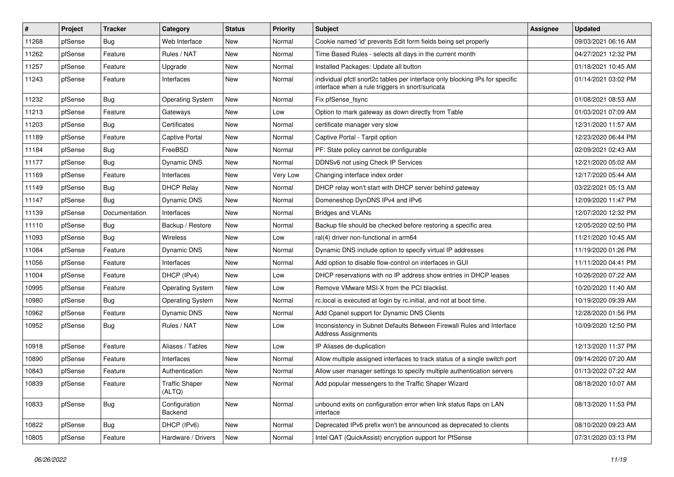| $\vert$ # | Project | <b>Tracker</b> | Category                        | <b>Status</b> | <b>Priority</b> | <b>Subject</b>                                                                                                                   | <b>Assignee</b> | <b>Updated</b>      |
|-----------|---------|----------------|---------------------------------|---------------|-----------------|----------------------------------------------------------------------------------------------------------------------------------|-----------------|---------------------|
| 11268     | pfSense | <b>Bug</b>     | Web Interface                   | New           | Normal          | Cookie named 'id' prevents Edit form fields being set properly                                                                   |                 | 09/03/2021 06:16 AM |
| 11262     | pfSense | Feature        | Rules / NAT                     | <b>New</b>    | Normal          | Time Based Rules - selects all days in the current month                                                                         |                 | 04/27/2021 12:32 PM |
| 11257     | pfSense | Feature        | Upgrade                         | New           | Normal          | Installed Packages: Update all button                                                                                            |                 | 01/18/2021 10:45 AM |
| 11243     | pfSense | Feature        | Interfaces                      | New           | Normal          | individual pfctl snort2c tables per interface only blocking IPs for specific<br>interface when a rule triggers in snort/suricata |                 | 01/14/2021 03:02 PM |
| 11232     | pfSense | Bug            | <b>Operating System</b>         | <b>New</b>    | Normal          | Fix pfSense fsync                                                                                                                |                 | 01/08/2021 08:53 AM |
| 11213     | pfSense | Feature        | Gateways                        | <b>New</b>    | Low             | Option to mark gateway as down directly from Table                                                                               |                 | 01/03/2021 07:09 AM |
| 11203     | pfSense | Bug            | Certificates                    | <b>New</b>    | Normal          | certificate manager very slow                                                                                                    |                 | 12/31/2020 11:57 AM |
| 11189     | pfSense | Feature        | <b>Captive Portal</b>           | <b>New</b>    | Normal          | Captive Portal - Tarpit option                                                                                                   |                 | 12/23/2020 06:44 PM |
| 11184     | pfSense | Bug            | FreeBSD                         | <b>New</b>    | Normal          | PF: State policy cannot be configurable                                                                                          |                 | 02/09/2021 02:43 AM |
| 11177     | pfSense | Bug            | Dynamic DNS                     | New           | Normal          | DDNSv6 not using Check IP Services                                                                                               |                 | 12/21/2020 05:02 AM |
| 11169     | pfSense | Feature        | Interfaces                      | New           | Very Low        | Changing interface index order                                                                                                   |                 | 12/17/2020 05:44 AM |
| 11149     | pfSense | Bug            | <b>DHCP Relay</b>               | <b>New</b>    | Normal          | DHCP relay won't start with DHCP server behind gateway                                                                           |                 | 03/22/2021 05:13 AM |
| 11147     | pfSense | Bug            | <b>Dynamic DNS</b>              | New           | Normal          | Domeneshop DynDNS IPv4 and IPv6                                                                                                  |                 | 12/09/2020 11:47 PM |
| 11139     | pfSense | Documentation  | Interfaces                      | <b>New</b>    | Normal          | <b>Bridges and VLANs</b>                                                                                                         |                 | 12/07/2020 12:32 PM |
| 11110     | pfSense | Bug            | Backup / Restore                | New           | Normal          | Backup file should be checked before restoring a specific area                                                                   |                 | 12/05/2020 02:50 PM |
| 11093     | pfSense | Bug            | <b>Wireless</b>                 | <b>New</b>    | Low             | ral(4) driver non-functional in arm64                                                                                            |                 | 11/21/2020 10:45 AM |
| 11084     | pfSense | Feature        | Dynamic DNS                     | New           | Normal          | Dynamic DNS include option to specify virtual IP addresses                                                                       |                 | 11/19/2020 01:26 PM |
| 11056     | pfSense | Feature        | Interfaces                      | New           | Normal          | Add option to disable flow-control on interfaces in GUI                                                                          |                 | 11/11/2020 04:41 PM |
| 11004     | pfSense | Feature        | DHCP (IPv4)                     | <b>New</b>    | Low             | DHCP reservations with no IP address show entries in DHCP leases                                                                 |                 | 10/26/2020 07:22 AM |
| 10995     | pfSense | Feature        | Operating System                | New           | Low             | Remove VMware MSI-X from the PCI blacklist.                                                                                      |                 | 10/20/2020 11:40 AM |
| 10980     | pfSense | Bug            | <b>Operating System</b>         | New           | Normal          | rc.local is executed at login by rc.initial, and not at boot time.                                                               |                 | 10/19/2020 09:39 AM |
| 10962     | pfSense | Feature        | Dynamic DNS                     | New           | Normal          | Add Cpanel support for Dynamic DNS Clients                                                                                       |                 | 12/28/2020 01:56 PM |
| 10952     | pfSense | <b>Bug</b>     | Rules / NAT                     | <b>New</b>    | Low             | Inconsistency in Subnet Defaults Between Firewall Rules and Interface<br><b>Address Assignments</b>                              |                 | 10/09/2020 12:50 PM |
| 10918     | pfSense | Feature        | Aliases / Tables                | <b>New</b>    | Low             | IP Aliases de-duplication                                                                                                        |                 | 12/13/2020 11:37 PM |
| 10890     | pfSense | Feature        | Interfaces                      | New           | Normal          | Allow multiple assigned interfaces to track status of a single switch port                                                       |                 | 09/14/2020 07:20 AM |
| 10843     | pfSense | Feature        | Authentication                  | New           | Normal          | Allow user manager settings to specify multiple authentication servers                                                           |                 | 01/13/2022 07:22 AM |
| 10839     | pfSense | Feature        | <b>Traffic Shaper</b><br>(ALTQ) | New           | Normal          | Add popular messengers to the Traffic Shaper Wizard                                                                              |                 | 08/18/2020 10:07 AM |
| 10833     | pfSense | <b>Bug</b>     | Configuration<br>Backend        | New           | Normal          | unbound exits on configuration error when link status flaps on LAN<br>interface                                                  |                 | 08/13/2020 11:53 PM |
| 10822     | pfSense | <b>Bug</b>     | DHCP (IPv6)                     | New           | Normal          | Deprecated IPv6 prefix won't be announced as deprecated to clients                                                               |                 | 08/10/2020 09:23 AM |
| 10805     | pfSense | Feature        | Hardware / Drivers              | New           | Normal          | Intel QAT (QuickAssist) encryption support for PfSense                                                                           |                 | 07/31/2020 03:13 PM |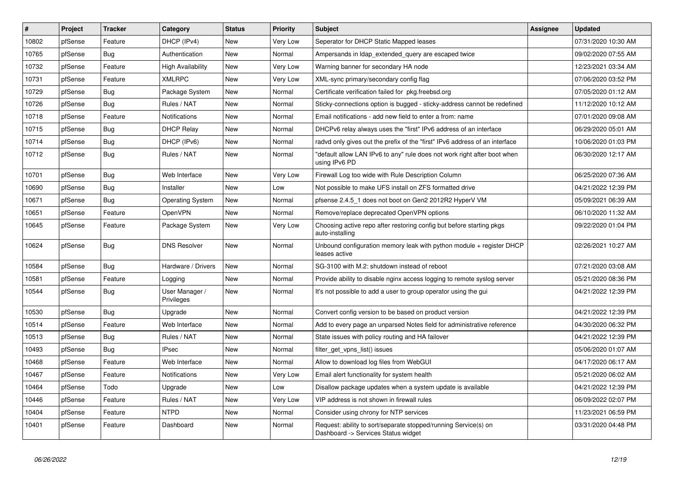| #     | Project | <b>Tracker</b> | Category                     | <b>Status</b> | <b>Priority</b> | <b>Subject</b>                                                                                         | Assignee | <b>Updated</b>      |
|-------|---------|----------------|------------------------------|---------------|-----------------|--------------------------------------------------------------------------------------------------------|----------|---------------------|
| 10802 | pfSense | Feature        | DHCP (IPv4)                  | New           | Very Low        | Seperator for DHCP Static Mapped leases                                                                |          | 07/31/2020 10:30 AM |
| 10765 | pfSense | Bug            | Authentication               | New           | Normal          | Ampersands in Idap extended query are escaped twice                                                    |          | 09/02/2020 07:55 AM |
| 10732 | pfSense | Feature        | <b>High Availability</b>     | New           | Very Low        | Warning banner for secondary HA node                                                                   |          | 12/23/2021 03:34 AM |
| 10731 | pfSense | Feature        | <b>XMLRPC</b>                | <b>New</b>    | Very Low        | XML-sync primary/secondary config flag                                                                 |          | 07/06/2020 03:52 PM |
| 10729 | pfSense | Bug            | Package System               | <b>New</b>    | Normal          | Certificate verification failed for pkg.freebsd.org                                                    |          | 07/05/2020 01:12 AM |
| 10726 | pfSense | Bug            | Rules / NAT                  | <b>New</b>    | Normal          | Sticky-connections option is bugged - sticky-address cannot be redefined                               |          | 11/12/2020 10:12 AM |
| 10718 | pfSense | Feature        | Notifications                | <b>New</b>    | Normal          | Email notifications - add new field to enter a from: name                                              |          | 07/01/2020 09:08 AM |
| 10715 | pfSense | <b>Bug</b>     | <b>DHCP Relay</b>            | <b>New</b>    | Normal          | DHCPv6 relay always uses the "first" IPv6 address of an interface                                      |          | 06/29/2020 05:01 AM |
| 10714 | pfSense | <b>Bug</b>     | DHCP (IPv6)                  | <b>New</b>    | Normal          | radvd only gives out the prefix of the "first" IPv6 address of an interface                            |          | 10/06/2020 01:03 PM |
| 10712 | pfSense | Bug            | Rules / NAT                  | New           | Normal          | 'default allow LAN IPv6 to any" rule does not work right after boot when<br>using IPv6 PD              |          | 06/30/2020 12:17 AM |
| 10701 | pfSense | <b>Bug</b>     | Web Interface                | <b>New</b>    | Very Low        | Firewall Log too wide with Rule Description Column                                                     |          | 06/25/2020 07:36 AM |
| 10690 | pfSense | Bug            | Installer                    | <b>New</b>    | Low             | Not possible to make UFS install on ZFS formatted drive                                                |          | 04/21/2022 12:39 PM |
| 10671 | pfSense | <b>Bug</b>     | Operating System             | New           | Normal          | pfsense 2.4.5 1 does not boot on Gen2 2012R2 HyperV VM                                                 |          | 05/09/2021 06:39 AM |
| 10651 | pfSense | Feature        | OpenVPN                      | <b>New</b>    | Normal          | Remove/replace deprecated OpenVPN options                                                              |          | 06/10/2020 11:32 AM |
| 10645 | pfSense | Feature        | Package System               | <b>New</b>    | Very Low        | Choosing active repo after restoring config but before starting pkgs<br>auto-installing                |          | 09/22/2020 01:04 PM |
| 10624 | pfSense | <b>Bug</b>     | <b>DNS Resolver</b>          | <b>New</b>    | Normal          | Unbound configuration memory leak with python module $+$ register DHCP<br>leases active                |          | 02/26/2021 10:27 AM |
| 10584 | pfSense | Bug            | Hardware / Drivers           | New           | Normal          | SG-3100 with M.2: shutdown instead of reboot                                                           |          | 07/21/2020 03:08 AM |
| 10581 | pfSense | Feature        | Logging                      | New           | Normal          | Provide ability to disable nginx access logging to remote syslog server                                |          | 05/21/2020 08:36 PM |
| 10544 | pfSense | <b>Bug</b>     | User Manager /<br>Privileges | <b>New</b>    | Normal          | It's not possible to add a user to group operator using the gui                                        |          | 04/21/2022 12:39 PM |
| 10530 | pfSense | <b>Bug</b>     | Upgrade                      | <b>New</b>    | Normal          | Convert config version to be based on product version                                                  |          | 04/21/2022 12:39 PM |
| 10514 | pfSense | Feature        | Web Interface                | <b>New</b>    | Normal          | Add to every page an unparsed Notes field for administrative reference                                 |          | 04/30/2020 06:32 PM |
| 10513 | pfSense | Bug            | Rules / NAT                  | <b>New</b>    | Normal          | State issues with policy routing and HA failover                                                       |          | 04/21/2022 12:39 PM |
| 10493 | pfSense | <b>Bug</b>     | <b>IPsec</b>                 | New           | Normal          | filter get vpns list() issues                                                                          |          | 05/06/2020 01:07 AM |
| 10468 | pfSense | Feature        | Web Interface                | <b>New</b>    | Normal          | Allow to download log files from WebGUI                                                                |          | 04/17/2020 06:17 AM |
| 10467 | pfSense | Feature        | Notifications                | <b>New</b>    | Very Low        | Email alert functionality for system health                                                            |          | 05/21/2020 06:02 AM |
| 10464 | pfSense | Todo           | Upgrade                      | <b>New</b>    | Low             | Disallow package updates when a system update is available                                             |          | 04/21/2022 12:39 PM |
| 10446 | pfSense | Feature        | Rules / NAT                  | New           | Very Low        | VIP address is not shown in firewall rules                                                             |          | 06/09/2022 02:07 PM |
| 10404 | pfSense | Feature        | <b>NTPD</b>                  | New           | Normal          | Consider using chrony for NTP services                                                                 |          | 11/23/2021 06:59 PM |
| 10401 | pfSense | Feature        | Dashboard                    | <b>New</b>    | Normal          | Request: ability to sort/separate stopped/running Service(s) on<br>Dashboard -> Services Status widget |          | 03/31/2020 04:48 PM |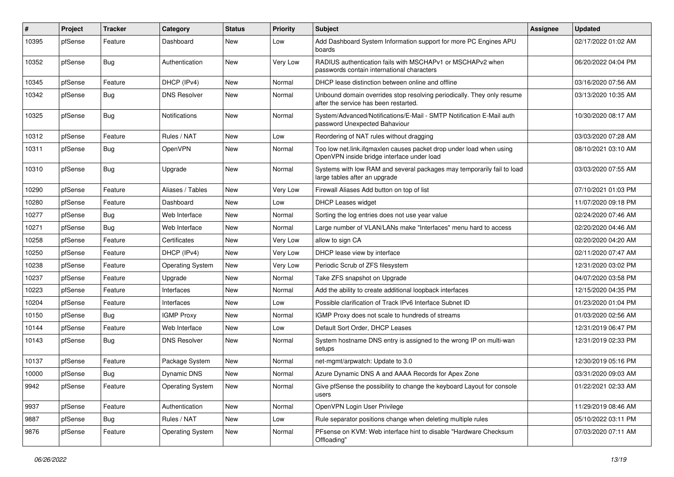| #     | Project | <b>Tracker</b> | Category                | <b>Status</b> | <b>Priority</b> | Subject                                                                                                           | <b>Assignee</b> | <b>Updated</b>      |
|-------|---------|----------------|-------------------------|---------------|-----------------|-------------------------------------------------------------------------------------------------------------------|-----------------|---------------------|
| 10395 | pfSense | Feature        | Dashboard               | New           | Low             | Add Dashboard System Information support for more PC Engines APU<br>boards                                        |                 | 02/17/2022 01:02 AM |
| 10352 | pfSense | Bug            | Authentication          | New           | Very Low        | RADIUS authentication fails with MSCHAPv1 or MSCHAPv2 when<br>passwords contain international characters          |                 | 06/20/2022 04:04 PM |
| 10345 | pfSense | Feature        | DHCP (IPv4)             | <b>New</b>    | Normal          | DHCP lease distinction between online and offline                                                                 |                 | 03/16/2020 07:56 AM |
| 10342 | pfSense | <b>Bug</b>     | <b>DNS Resolver</b>     | New           | Normal          | Unbound domain overrides stop resolving periodically. They only resume<br>after the service has been restarted.   |                 | 03/13/2020 10:35 AM |
| 10325 | pfSense | <b>Bug</b>     | <b>Notifications</b>    | <b>New</b>    | Normal          | System/Advanced/Notifications/E-Mail - SMTP Notification E-Mail auth<br>password Unexpected Bahaviour             |                 | 10/30/2020 08:17 AM |
| 10312 | pfSense | Feature        | Rules / NAT             | <b>New</b>    | Low             | Reordering of NAT rules without dragging                                                                          |                 | 03/03/2020 07:28 AM |
| 10311 | pfSense | <b>Bug</b>     | OpenVPN                 | New           | Normal          | Too low net.link.ifqmaxlen causes packet drop under load when using<br>OpenVPN inside bridge interface under load |                 | 08/10/2021 03:10 AM |
| 10310 | pfSense | <b>Bug</b>     | Upgrade                 | <b>New</b>    | Normal          | Systems with low RAM and several packages may temporarily fail to load<br>large tables after an upgrade           |                 | 03/03/2020 07:55 AM |
| 10290 | pfSense | Feature        | Aliases / Tables        | <b>New</b>    | Very Low        | Firewall Aliases Add button on top of list                                                                        |                 | 07/10/2021 01:03 PM |
| 10280 | pfSense | Feature        | Dashboard               | <b>New</b>    | Low             | <b>DHCP Leases widget</b>                                                                                         |                 | 11/07/2020 09:18 PM |
| 10277 | pfSense | <b>Bug</b>     | Web Interface           | New           | Normal          | Sorting the log entries does not use year value                                                                   |                 | 02/24/2020 07:46 AM |
| 10271 | pfSense | <b>Bug</b>     | Web Interface           | <b>New</b>    | Normal          | Large number of VLAN/LANs make "Interfaces" menu hard to access                                                   |                 | 02/20/2020 04:46 AM |
| 10258 | pfSense | Feature        | Certificates            | New           | Very Low        | allow to sign CA                                                                                                  |                 | 02/20/2020 04:20 AM |
| 10250 | pfSense | Feature        | DHCP (IPv4)             | <b>New</b>    | Very Low        | DHCP lease view by interface                                                                                      |                 | 02/11/2020 07:47 AM |
| 10238 | pfSense | Feature        | <b>Operating System</b> | New           | Very Low        | Periodic Scrub of ZFS filesystem                                                                                  |                 | 12/31/2020 03:02 PM |
| 10237 | pfSense | Feature        | Upgrade                 | New           | Normal          | Take ZFS snapshot on Upgrade                                                                                      |                 | 04/07/2020 03:58 PM |
| 10223 | pfSense | Feature        | Interfaces              | New           | Normal          | Add the ability to create additional loopback interfaces                                                          |                 | 12/15/2020 04:35 PM |
| 10204 | pfSense | Feature        | Interfaces              | New           | Low             | Possible clarification of Track IPv6 Interface Subnet ID                                                          |                 | 01/23/2020 01:04 PM |
| 10150 | pfSense | Bug            | <b>IGMP Proxy</b>       | New           | Normal          | IGMP Proxy does not scale to hundreds of streams                                                                  |                 | 01/03/2020 02:56 AM |
| 10144 | pfSense | Feature        | Web Interface           | New           | Low             | Default Sort Order, DHCP Leases                                                                                   |                 | 12/31/2019 06:47 PM |
| 10143 | pfSense | <b>Bug</b>     | <b>DNS Resolver</b>     | New           | Normal          | System hostname DNS entry is assigned to the wrong IP on multi-wan<br>setups                                      |                 | 12/31/2019 02:33 PM |
| 10137 | pfSense | Feature        | Package System          | <b>New</b>    | Normal          | net-mgmt/arpwatch: Update to 3.0                                                                                  |                 | 12/30/2019 05:16 PM |
| 10000 | pfSense | Bug            | Dynamic DNS             | New           | Normal          | Azure Dynamic DNS A and AAAA Records for Apex Zone                                                                |                 | 03/31/2020 09:03 AM |
| 9942  | pfSense | Feature        | <b>Operating System</b> | New           | Normal          | Give pfSense the possibility to change the keyboard Layout for console<br>users                                   |                 | 01/22/2021 02:33 AM |
| 9937  | pfSense | Feature        | Authentication          | New           | Normal          | OpenVPN Login User Privilege                                                                                      |                 | 11/29/2019 08:46 AM |
| 9887  | pfSense | <b>Bug</b>     | Rules / NAT             | New           | Low             | Rule separator positions change when deleting multiple rules                                                      |                 | 05/10/2022 03:11 PM |
| 9876  | pfSense | Feature        | <b>Operating System</b> | New           | Normal          | PFsense on KVM: Web interface hint to disable "Hardware Checksum<br>Offloading"                                   |                 | 07/03/2020 07:11 AM |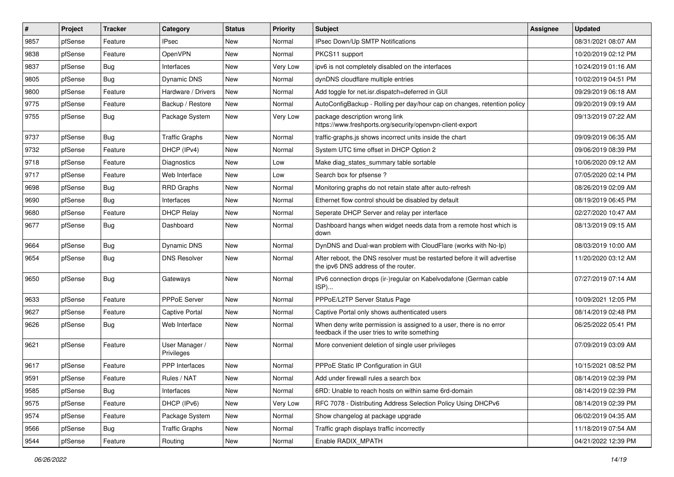| #    | Project | <b>Tracker</b> | Category                     | <b>Status</b> | <b>Priority</b> | Subject                                                                                                              | <b>Assignee</b> | <b>Updated</b>      |
|------|---------|----------------|------------------------------|---------------|-----------------|----------------------------------------------------------------------------------------------------------------------|-----------------|---------------------|
| 9857 | pfSense | Feature        | <b>IPsec</b>                 | New           | Normal          | IPsec Down/Up SMTP Notifications                                                                                     |                 | 08/31/2021 08:07 AM |
| 9838 | pfSense | Feature        | OpenVPN                      | New           | Normal          | PKCS11 support                                                                                                       |                 | 10/20/2019 02:12 PM |
| 9837 | pfSense | Bug            | Interfaces                   | New           | Very Low        | ipv6 is not completely disabled on the interfaces                                                                    |                 | 10/24/2019 01:16 AM |
| 9805 | pfSense | <b>Bug</b>     | <b>Dynamic DNS</b>           | New           | Normal          | dynDNS cloudflare multiple entries                                                                                   |                 | 10/02/2019 04:51 PM |
| 9800 | pfSense | Feature        | Hardware / Drivers           | <b>New</b>    | Normal          | Add toggle for net.isr.dispatch=deferred in GUI                                                                      |                 | 09/29/2019 06:18 AM |
| 9775 | pfSense | Feature        | Backup / Restore             | New           | Normal          | AutoConfigBackup - Rolling per day/hour cap on changes, retention policy                                             |                 | 09/20/2019 09:19 AM |
| 9755 | pfSense | Bug            | Package System               | New           | Very Low        | package description wrong link<br>https://www.freshports.org/security/openvpn-client-export                          |                 | 09/13/2019 07:22 AM |
| 9737 | pfSense | <b>Bug</b>     | <b>Traffic Graphs</b>        | New           | Normal          | traffic-graphs.js shows incorrect units inside the chart                                                             |                 | 09/09/2019 06:35 AM |
| 9732 | pfSense | Feature        | DHCP (IPv4)                  | <b>New</b>    | Normal          | System UTC time offset in DHCP Option 2                                                                              |                 | 09/06/2019 08:39 PM |
| 9718 | pfSense | Feature        | Diagnostics                  | New           | Low             | Make diag states summary table sortable                                                                              |                 | 10/06/2020 09:12 AM |
| 9717 | pfSense | Feature        | Web Interface                | New           | Low             | Search box for pfsense?                                                                                              |                 | 07/05/2020 02:14 PM |
| 9698 | pfSense | <b>Bug</b>     | <b>RRD Graphs</b>            | New           | Normal          | Monitoring graphs do not retain state after auto-refresh                                                             |                 | 08/26/2019 02:09 AM |
| 9690 | pfSense | <b>Bug</b>     | Interfaces                   | New           | Normal          | Ethernet flow control should be disabled by default                                                                  |                 | 08/19/2019 06:45 PM |
| 9680 | pfSense | Feature        | <b>DHCP Relay</b>            | New           | Normal          | Seperate DHCP Server and relay per interface                                                                         |                 | 02/27/2020 10:47 AM |
| 9677 | pfSense | Bug            | Dashboard                    | <b>New</b>    | Normal          | Dashboard hangs when widget needs data from a remote host which is<br>down                                           |                 | 08/13/2019 09:15 AM |
| 9664 | pfSense | <b>Bug</b>     | Dynamic DNS                  | <b>New</b>    | Normal          | DynDNS and Dual-wan problem with CloudFlare (works with No-Ip)                                                       |                 | 08/03/2019 10:00 AM |
| 9654 | pfSense | Bug            | <b>DNS Resolver</b>          | New           | Normal          | After reboot, the DNS resolver must be restarted before it will advertise<br>the ipv6 DNS address of the router.     |                 | 11/20/2020 03:12 AM |
| 9650 | pfSense | Bug            | Gateways                     | <b>New</b>    | Normal          | IPv6 connection drops (ir-)regular on Kabelvodafone (German cable<br>ISP)                                            |                 | 07/27/2019 07:14 AM |
| 9633 | pfSense | Feature        | PPPoE Server                 | New           | Normal          | PPPoE/L2TP Server Status Page                                                                                        |                 | 10/09/2021 12:05 PM |
| 9627 | pfSense | Feature        | Captive Portal               | <b>New</b>    | Normal          | Captive Portal only shows authenticated users                                                                        |                 | 08/14/2019 02:48 PM |
| 9626 | pfSense | Bug            | Web Interface                | New           | Normal          | When deny write permission is assigned to a user, there is no error<br>feedback if the user tries to write something |                 | 06/25/2022 05:41 PM |
| 9621 | pfSense | Feature        | User Manager /<br>Privileges | New           | Normal          | More convenient deletion of single user privileges                                                                   |                 | 07/09/2019 03:09 AM |
| 9617 | pfSense | Feature        | <b>PPP</b> Interfaces        | New           | Normal          | PPPoE Static IP Configuration in GUI                                                                                 |                 | 10/15/2021 08:52 PM |
| 9591 | pfSense | Feature        | Rules / NAT                  | New           | Normal          | Add under firewall rules a search box                                                                                |                 | 08/14/2019 02:39 PM |
| 9585 | pfSense | Bug            | Interfaces                   | New           | Normal          | 6RD: Unable to reach hosts on within same 6rd-domain                                                                 |                 | 08/14/2019 02:39 PM |
| 9575 | pfSense | Feature        | DHCP (IPv6)                  | New           | Very Low        | RFC 7078 - Distributing Address Selection Policy Using DHCPv6                                                        |                 | 08/14/2019 02:39 PM |
| 9574 | pfSense | Feature        | Package System               | New           | Normal          | Show changelog at package upgrade                                                                                    |                 | 06/02/2019 04:35 AM |
| 9566 | pfSense | <b>Bug</b>     | <b>Traffic Graphs</b>        | New           | Normal          | Traffic graph displays traffic incorrectly                                                                           |                 | 11/18/2019 07:54 AM |
| 9544 | pfSense | Feature        | Routing                      | New           | Normal          | Enable RADIX_MPATH                                                                                                   |                 | 04/21/2022 12:39 PM |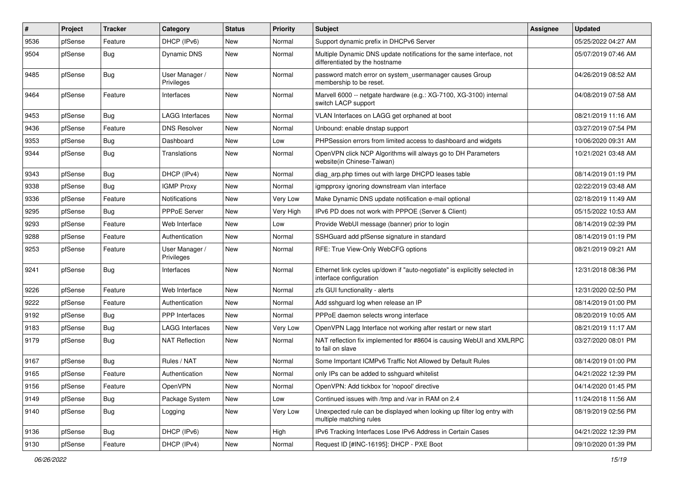| $\vert$ # | Project | <b>Tracker</b> | Category                     | <b>Status</b> | <b>Priority</b> | Subject                                                                                                 | <b>Assignee</b> | <b>Updated</b>      |
|-----------|---------|----------------|------------------------------|---------------|-----------------|---------------------------------------------------------------------------------------------------------|-----------------|---------------------|
| 9536      | pfSense | Feature        | DHCP (IPv6)                  | New           | Normal          | Support dynamic prefix in DHCPv6 Server                                                                 |                 | 05/25/2022 04:27 AM |
| 9504      | pfSense | Bug            | Dynamic DNS                  | <b>New</b>    | Normal          | Multiple Dynamic DNS update notifications for the same interface, not<br>differentiated by the hostname |                 | 05/07/2019 07:46 AM |
| 9485      | pfSense | <b>Bug</b>     | User Manager /<br>Privileges | <b>New</b>    | Normal          | password match error on system_usermanager causes Group<br>membership to be reset.                      |                 | 04/26/2019 08:52 AM |
| 9464      | pfSense | Feature        | Interfaces                   | <b>New</b>    | Normal          | Marvell 6000 -- netgate hardware (e.g.: XG-7100, XG-3100) internal<br>switch LACP support               |                 | 04/08/2019 07:58 AM |
| 9453      | pfSense | Bug            | <b>LAGG Interfaces</b>       | <b>New</b>    | Normal          | VLAN Interfaces on LAGG get orphaned at boot                                                            |                 | 08/21/2019 11:16 AM |
| 9436      | pfSense | Feature        | <b>DNS Resolver</b>          | New           | Normal          | Unbound: enable dnstap support                                                                          |                 | 03/27/2019 07:54 PM |
| 9353      | pfSense | Bug            | Dashboard                    | <b>New</b>    | Low             | PHPSession errors from limited access to dashboard and widgets                                          |                 | 10/06/2020 09:31 AM |
| 9344      | pfSense | Bug            | Translations                 | <b>New</b>    | Normal          | OpenVPN click NCP Algorithms will always go to DH Parameters<br>website(in Chinese-Taiwan)              |                 | 10/21/2021 03:48 AM |
| 9343      | pfSense | Bug            | DHCP (IPv4)                  | <b>New</b>    | Normal          | diag_arp.php times out with large DHCPD leases table                                                    |                 | 08/14/2019 01:19 PM |
| 9338      | pfSense | Bug            | <b>IGMP Proxy</b>            | <b>New</b>    | Normal          | igmpproxy ignoring downstream vlan interface                                                            |                 | 02/22/2019 03:48 AM |
| 9336      | pfSense | Feature        | <b>Notifications</b>         | New           | Very Low        | Make Dynamic DNS update notification e-mail optional                                                    |                 | 02/18/2019 11:49 AM |
| 9295      | pfSense | Bug            | <b>PPPoE Server</b>          | <b>New</b>    | Very High       | IPv6 PD does not work with PPPOE (Server & Client)                                                      |                 | 05/15/2022 10:53 AM |
| 9293      | pfSense | Feature        | Web Interface                | New           | Low             | Provide WebUI message (banner) prior to login                                                           |                 | 08/14/2019 02:39 PM |
| 9288      | pfSense | Feature        | Authentication               | <b>New</b>    | Normal          | SSHGuard add pfSense signature in standard                                                              |                 | 08/14/2019 01:19 PM |
| 9253      | pfSense | Feature        | User Manager /<br>Privileges | New           | Normal          | RFE: True View-Only WebCFG options                                                                      |                 | 08/21/2019 09:21 AM |
| 9241      | pfSense | Bug            | Interfaces                   | <b>New</b>    | Normal          | Ethernet link cycles up/down if "auto-negotiate" is explicitly selected in<br>interface configuration   |                 | 12/31/2018 08:36 PM |
| 9226      | pfSense | Feature        | Web Interface                | New           | Normal          | zfs GUI functionality - alerts                                                                          |                 | 12/31/2020 02:50 PM |
| 9222      | pfSense | Feature        | Authentication               | <b>New</b>    | Normal          | Add sshguard log when release an IP                                                                     |                 | 08/14/2019 01:00 PM |
| 9192      | pfSense | Bug            | <b>PPP</b> Interfaces        | New           | Normal          | PPPoE daemon selects wrong interface                                                                    |                 | 08/20/2019 10:05 AM |
| 9183      | pfSense | <b>Bug</b>     | <b>LAGG Interfaces</b>       | <b>New</b>    | Very Low        | OpenVPN Lagg Interface not working after restart or new start                                           |                 | 08/21/2019 11:17 AM |
| 9179      | pfSense | Bug            | <b>NAT Reflection</b>        | New           | Normal          | NAT reflection fix implemented for #8604 is causing WebUI and XMLRPC<br>to fail on slave                |                 | 03/27/2020 08:01 PM |
| 9167      | pfSense | Bug            | Rules / NAT                  | <b>New</b>    | Normal          | Some Important ICMPv6 Traffic Not Allowed by Default Rules                                              |                 | 08/14/2019 01:00 PM |
| 9165      | pfSense | Feature        | Authentication               | New           | Normal          | only IPs can be added to sshguard whitelist                                                             |                 | 04/21/2022 12:39 PM |
| 9156      | pfSense | Feature        | OpenVPN                      | New           | Normal          | OpenVPN: Add tickbox for 'nopool' directive                                                             |                 | 04/14/2020 01:45 PM |
| 9149      | pfSense | <b>Bug</b>     | Package System               | New           | Low             | Continued issues with /tmp and /var in RAM on 2.4                                                       |                 | 11/24/2018 11:56 AM |
| 9140      | pfSense | Bug            | Logging                      | New           | Very Low        | Unexpected rule can be displayed when looking up filter log entry with<br>multiple matching rules       |                 | 08/19/2019 02:56 PM |
| 9136      | pfSense | Bug            | DHCP (IPv6)                  | New           | High            | IPv6 Tracking Interfaces Lose IPv6 Address in Certain Cases                                             |                 | 04/21/2022 12:39 PM |
| 9130      | pfSense | Feature        | DHCP (IPv4)                  | New           | Normal          | Request ID [#INC-16195]: DHCP - PXE Boot                                                                |                 | 09/10/2020 01:39 PM |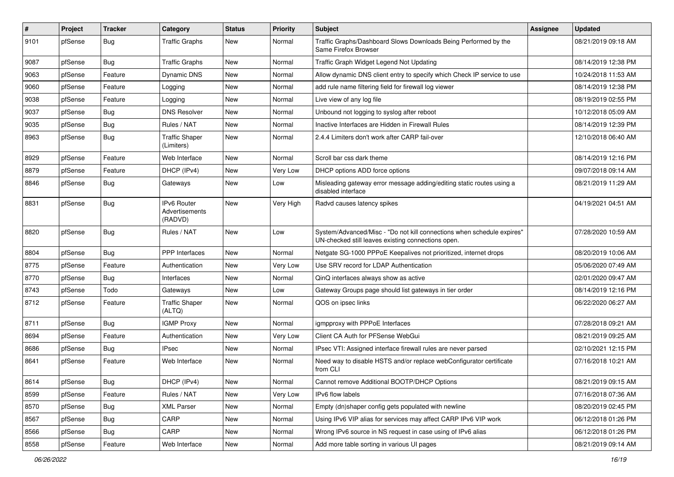| #    | Project | <b>Tracker</b> | Category                                 | <b>Status</b> | <b>Priority</b> | Subject                                                                                                                      | <b>Assignee</b> | <b>Updated</b>      |
|------|---------|----------------|------------------------------------------|---------------|-----------------|------------------------------------------------------------------------------------------------------------------------------|-----------------|---------------------|
| 9101 | pfSense | Bug            | <b>Traffic Graphs</b>                    | New           | Normal          | Traffic Graphs/Dashboard Slows Downloads Being Performed by the<br>Same Firefox Browser                                      |                 | 08/21/2019 09:18 AM |
| 9087 | pfSense | Bug            | <b>Traffic Graphs</b>                    | <b>New</b>    | Normal          | Traffic Graph Widget Legend Not Updating                                                                                     |                 | 08/14/2019 12:38 PM |
| 9063 | pfSense | Feature        | Dynamic DNS                              | <b>New</b>    | Normal          | Allow dynamic DNS client entry to specify which Check IP service to use                                                      |                 | 10/24/2018 11:53 AM |
| 9060 | pfSense | Feature        | Logging                                  | New           | Normal          | add rule name filtering field for firewall log viewer                                                                        |                 | 08/14/2019 12:38 PM |
| 9038 | pfSense | Feature        | Logging                                  | <b>New</b>    | Normal          | Live view of any log file                                                                                                    |                 | 08/19/2019 02:55 PM |
| 9037 | pfSense | Bug            | <b>DNS Resolver</b>                      | <b>New</b>    | Normal          | Unbound not logging to syslog after reboot                                                                                   |                 | 10/12/2018 05:09 AM |
| 9035 | pfSense | Bug            | Rules / NAT                              | <b>New</b>    | Normal          | Inactive Interfaces are Hidden in Firewall Rules                                                                             |                 | 08/14/2019 12:39 PM |
| 8963 | pfSense | Bug            | <b>Traffic Shaper</b><br>(Limiters)      | New           | Normal          | 2.4.4 Limiters don't work after CARP fail-over                                                                               |                 | 12/10/2018 06:40 AM |
| 8929 | pfSense | Feature        | Web Interface                            | <b>New</b>    | Normal          | Scroll bar css dark theme                                                                                                    |                 | 08/14/2019 12:16 PM |
| 8879 | pfSense | Feature        | DHCP (IPv4)                              | New           | Very Low        | DHCP options ADD force options                                                                                               |                 | 09/07/2018 09:14 AM |
| 8846 | pfSense | Bug            | Gateways                                 | New           | Low             | Misleading gateway error message adding/editing static routes using a<br>disabled interface                                  |                 | 08/21/2019 11:29 AM |
| 8831 | pfSense | <b>Bug</b>     | IPv6 Router<br>Advertisements<br>(RADVD) | New           | Very High       | Radvd causes latency spikes                                                                                                  |                 | 04/19/2021 04:51 AM |
| 8820 | pfSense | Bug            | Rules / NAT                              | New           | Low             | System/Advanced/Misc - "Do not kill connections when schedule expires"<br>UN-checked still leaves existing connections open. |                 | 07/28/2020 10:59 AM |
| 8804 | pfSense | Bug            | <b>PPP</b> Interfaces                    | <b>New</b>    | Normal          | Netgate SG-1000 PPPoE Keepalives not prioritized, internet drops                                                             |                 | 08/20/2019 10:06 AM |
| 8775 | pfSense | Feature        | Authentication                           | New           | Very Low        | Use SRV record for LDAP Authentication                                                                                       |                 | 05/06/2020 07:49 AM |
| 8770 | pfSense | Bug            | Interfaces                               | New           | Normal          | QinQ interfaces always show as active                                                                                        |                 | 02/01/2020 09:47 AM |
| 8743 | pfSense | Todo           | Gateways                                 | New           | Low             | Gateway Groups page should list gateways in tier order                                                                       |                 | 08/14/2019 12:16 PM |
| 8712 | pfSense | Feature        | <b>Traffic Shaper</b><br>(ALTQ)          | <b>New</b>    | Normal          | QOS on ipsec links                                                                                                           |                 | 06/22/2020 06:27 AM |
| 8711 | pfSense | Bug            | <b>IGMP Proxy</b>                        | <b>New</b>    | Normal          | igmpproxy with PPPoE Interfaces                                                                                              |                 | 07/28/2018 09:21 AM |
| 8694 | pfSense | Feature        | Authentication                           | <b>New</b>    | Very Low        | Client CA Auth for PFSense WebGui                                                                                            |                 | 08/21/2019 09:25 AM |
| 8686 | pfSense | Bug            | <b>IPsec</b>                             | New           | Normal          | IPsec VTI: Assigned interface firewall rules are never parsed                                                                |                 | 02/10/2021 12:15 PM |
| 8641 | pfSense | Feature        | Web Interface                            | New           | Normal          | Need way to disable HSTS and/or replace webConfigurator certificate<br>from CLI                                              |                 | 07/16/2018 10:21 AM |
| 8614 | pfSense | <b>Bug</b>     | DHCP (IPv4)                              | New           | Normal          | Cannot remove Additional BOOTP/DHCP Options                                                                                  |                 | 08/21/2019 09:15 AM |
| 8599 | pfSense | Feature        | Rules / NAT                              | New           | Very Low        | IPv6 flow labels                                                                                                             |                 | 07/16/2018 07:36 AM |
| 8570 | pfSense | Bug            | <b>XML Parser</b>                        | New           | Normal          | Empty (dn)shaper config gets populated with newline                                                                          |                 | 08/20/2019 02:45 PM |
| 8567 | pfSense | <b>Bug</b>     | CARP                                     | New           | Normal          | Using IPv6 VIP alias for services may affect CARP IPv6 VIP work                                                              |                 | 06/12/2018 01:26 PM |
| 8566 | pfSense | <b>Bug</b>     | CARP                                     | New           | Normal          | Wrong IPv6 source in NS request in case using of IPv6 alias                                                                  |                 | 06/12/2018 01:26 PM |
| 8558 | pfSense | Feature        | Web Interface                            | New           | Normal          | Add more table sorting in various UI pages                                                                                   |                 | 08/21/2019 09:14 AM |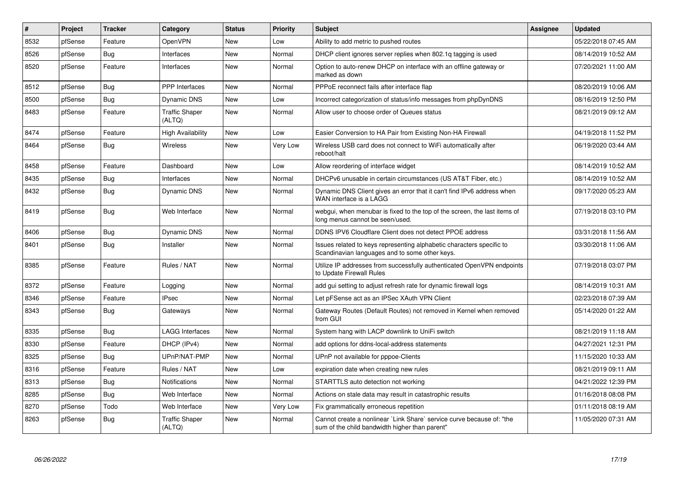| $\vert$ # | Project | <b>Tracker</b> | Category                        | <b>Status</b> | <b>Priority</b> | <b>Subject</b>                                                                                                          | Assignee | <b>Updated</b>      |
|-----------|---------|----------------|---------------------------------|---------------|-----------------|-------------------------------------------------------------------------------------------------------------------------|----------|---------------------|
| 8532      | pfSense | Feature        | OpenVPN                         | New           | Low             | Ability to add metric to pushed routes                                                                                  |          | 05/22/2018 07:45 AM |
| 8526      | pfSense | Bug            | Interfaces                      | <b>New</b>    | Normal          | DHCP client ignores server replies when 802.1q tagging is used                                                          |          | 08/14/2019 10:52 AM |
| 8520      | pfSense | Feature        | Interfaces                      | <b>New</b>    | Normal          | Option to auto-renew DHCP on interface with an offline gateway or<br>marked as down                                     |          | 07/20/2021 11:00 AM |
| 8512      | pfSense | <b>Bug</b>     | <b>PPP</b> Interfaces           | <b>New</b>    | Normal          | PPPoE reconnect fails after interface flap                                                                              |          | 08/20/2019 10:06 AM |
| 8500      | pfSense | <b>Bug</b>     | Dynamic DNS                     | New           | Low             | Incorrect categorization of status/info messages from phpDynDNS                                                         |          | 08/16/2019 12:50 PM |
| 8483      | pfSense | Feature        | <b>Traffic Shaper</b><br>(ALTQ) | New           | Normal          | Allow user to choose order of Queues status                                                                             |          | 08/21/2019 09:12 AM |
| 8474      | pfSense | Feature        | <b>High Availability</b>        | <b>New</b>    | Low             | Easier Conversion to HA Pair from Existing Non-HA Firewall                                                              |          | 04/19/2018 11:52 PM |
| 8464      | pfSense | Bug            | <b>Wireless</b>                 | New           | <b>Very Low</b> | Wireless USB card does not connect to WiFi automatically after<br>reboot/halt                                           |          | 06/19/2020 03:44 AM |
| 8458      | pfSense | Feature        | Dashboard                       | <b>New</b>    | Low             | Allow reordering of interface widget                                                                                    |          | 08/14/2019 10:52 AM |
| 8435      | pfSense | Bug            | Interfaces                      | <b>New</b>    | Normal          | DHCPv6 unusable in certain circumstances (US AT&T Fiber, etc.)                                                          |          | 08/14/2019 10:52 AM |
| 8432      | pfSense | Bug            | Dynamic DNS                     | New           | Normal          | Dynamic DNS Client gives an error that it can't find IPv6 address when<br>WAN interface is a LAGG                       |          | 09/17/2020 05:23 AM |
| 8419      | pfSense | Bug            | Web Interface                   | <b>New</b>    | Normal          | webgui, when menubar is fixed to the top of the screen, the last items of<br>long menus cannot be seen/used.            |          | 07/19/2018 03:10 PM |
| 8406      | pfSense | <b>Bug</b>     | Dynamic DNS                     | New           | Normal          | DDNS IPV6 Cloudflare Client does not detect PPOE address                                                                |          | 03/31/2018 11:56 AM |
| 8401      | pfSense | <b>Bug</b>     | Installer                       | New           | Normal          | Issues related to keys representing alphabetic characters specific to<br>Scandinavian languages and to some other keys. |          | 03/30/2018 11:06 AM |
| 8385      | pfSense | Feature        | Rules / NAT                     | <b>New</b>    | Normal          | Utilize IP addresses from successfully authenticated OpenVPN endpoints<br>to Update Firewall Rules                      |          | 07/19/2018 03:07 PM |
| 8372      | pfSense | Feature        | Logging                         | <b>New</b>    | Normal          | add gui setting to adjust refresh rate for dynamic firewall logs                                                        |          | 08/14/2019 10:31 AM |
| 8346      | pfSense | Feature        | <b>IPsec</b>                    | New           | Normal          | Let pFSense act as an IPSec XAuth VPN Client                                                                            |          | 02/23/2018 07:39 AM |
| 8343      | pfSense | Bug            | Gateways                        | New           | Normal          | Gateway Routes (Default Routes) not removed in Kernel when removed<br>from GUI                                          |          | 05/14/2020 01:22 AM |
| 8335      | pfSense | Bug            | <b>LAGG Interfaces</b>          | <b>New</b>    | Normal          | System hang with LACP downlink to UniFi switch                                                                          |          | 08/21/2019 11:18 AM |
| 8330      | pfSense | Feature        | DHCP (IPv4)                     | <b>New</b>    | Normal          | add options for ddns-local-address statements                                                                           |          | 04/27/2021 12:31 PM |
| 8325      | pfSense | Bug            | UPnP/NAT-PMP                    | <b>New</b>    | Normal          | UPnP not available for pppoe-Clients                                                                                    |          | 11/15/2020 10:33 AM |
| 8316      | pfSense | Feature        | Rules / NAT                     | <b>New</b>    | Low             | expiration date when creating new rules                                                                                 |          | 08/21/2019 09:11 AM |
| 8313      | pfSense | <b>Bug</b>     | <b>Notifications</b>            | <b>New</b>    | Normal          | STARTTLS auto detection not working                                                                                     |          | 04/21/2022 12:39 PM |
| 8285      | pfSense | Bug            | Web Interface                   | New           | Normal          | Actions on stale data may result in catastrophic results                                                                |          | 01/16/2018 08:08 PM |
| 8270      | pfSense | Todo           | Web Interface                   | New           | Very Low        | Fix grammatically erroneous repetition                                                                                  |          | 01/11/2018 08:19 AM |
| 8263      | pfSense | <b>Bug</b>     | <b>Traffic Shaper</b><br>(ALTQ) | New           | Normal          | Cannot create a nonlinear `Link Share` service curve because of: "the<br>sum of the child bandwidth higher than parent" |          | 11/05/2020 07:31 AM |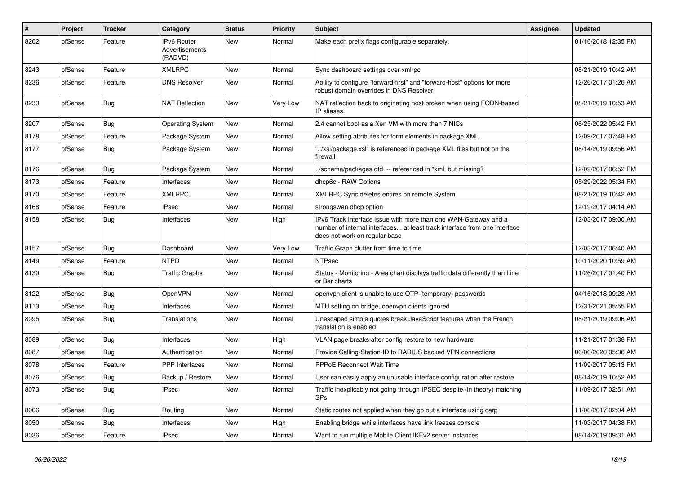| #    | Project | <b>Tracker</b> | Category                                        | <b>Status</b> | <b>Priority</b> | <b>Subject</b>                                                                                                                                                                | <b>Assignee</b> | <b>Updated</b>      |
|------|---------|----------------|-------------------------------------------------|---------------|-----------------|-------------------------------------------------------------------------------------------------------------------------------------------------------------------------------|-----------------|---------------------|
| 8262 | pfSense | Feature        | <b>IPv6 Router</b><br>Advertisements<br>(RADVD) | New           | Normal          | Make each prefix flags configurable separately.                                                                                                                               |                 | 01/16/2018 12:35 PM |
| 8243 | pfSense | Feature        | <b>XMLRPC</b>                                   | <b>New</b>    | Normal          | Sync dashboard settings over xmlrpc                                                                                                                                           |                 | 08/21/2019 10:42 AM |
| 8236 | pfSense | Feature        | <b>DNS Resolver</b>                             | New           | Normal          | Ability to configure "forward-first" and "forward-host" options for more<br>robust domain overrides in DNS Resolver                                                           |                 | 12/26/2017 01:26 AM |
| 8233 | pfSense | Bug            | <b>NAT Reflection</b>                           | New           | Very Low        | NAT reflection back to originating host broken when using FQDN-based<br>IP aliases                                                                                            |                 | 08/21/2019 10:53 AM |
| 8207 | pfSense | Bug            | <b>Operating System</b>                         | New           | Normal          | 2.4 cannot boot as a Xen VM with more than 7 NICs                                                                                                                             |                 | 06/25/2022 05:42 PM |
| 8178 | pfSense | Feature        | Package System                                  | New           | Normal          | Allow setting attributes for form elements in package XML                                                                                                                     |                 | 12/09/2017 07:48 PM |
| 8177 | pfSense | Bug            | Package System                                  | <b>New</b>    | Normal          | "/xsl/package.xsl" is referenced in package XML files but not on the<br>firewall                                                                                              |                 | 08/14/2019 09:56 AM |
| 8176 | pfSense | Bug            | Package System                                  | New           | Normal          | ./schema/packages.dtd -- referenced in *xml, but missing?                                                                                                                     |                 | 12/09/2017 06:52 PM |
| 8173 | pfSense | Feature        | Interfaces                                      | New           | Normal          | dhcp6c - RAW Options                                                                                                                                                          |                 | 05/29/2022 05:34 PM |
| 8170 | pfSense | Feature        | <b>XMLRPC</b>                                   | New           | Normal          | XMLRPC Sync deletes entires on remote System                                                                                                                                  |                 | 08/21/2019 10:42 AM |
| 8168 | pfSense | Feature        | <b>IPsec</b>                                    | New           | Normal          | strongswan dhcp option                                                                                                                                                        |                 | 12/19/2017 04:14 AM |
| 8158 | pfSense | Bug            | Interfaces                                      | New           | High            | IPv6 Track Interface issue with more than one WAN-Gateway and a<br>number of internal interfaces at least track interface from one interface<br>does not work on regular base |                 | 12/03/2017 09:00 AM |
| 8157 | pfSense | Bug            | Dashboard                                       | New           | Very Low        | Traffic Graph clutter from time to time                                                                                                                                       |                 | 12/03/2017 06:40 AM |
| 8149 | pfSense | Feature        | <b>NTPD</b>                                     | New           | Normal          | <b>NTPsec</b>                                                                                                                                                                 |                 | 10/11/2020 10:59 AM |
| 8130 | pfSense | Bug            | <b>Traffic Graphs</b>                           | New           | Normal          | Status - Monitoring - Area chart displays traffic data differently than Line<br>or Bar charts                                                                                 |                 | 11/26/2017 01:40 PM |
| 8122 | pfSense | Bug            | OpenVPN                                         | <b>New</b>    | Normal          | openvpn client is unable to use OTP (temporary) passwords                                                                                                                     |                 | 04/16/2018 09:28 AM |
| 8113 | pfSense | <b>Bug</b>     | Interfaces                                      | New           | Normal          | MTU setting on bridge, openypn clients ignored                                                                                                                                |                 | 12/31/2021 05:55 PM |
| 8095 | pfSense | Bug            | Translations                                    | New           | Normal          | Unescaped simple quotes break JavaScript features when the French<br>translation is enabled                                                                                   |                 | 08/21/2019 09:06 AM |
| 8089 | pfSense | Bug            | Interfaces                                      | New           | High            | VLAN page breaks after config restore to new hardware.                                                                                                                        |                 | 11/21/2017 01:38 PM |
| 8087 | pfSense | Bug            | Authentication                                  | New           | Normal          | Provide Calling-Station-ID to RADIUS backed VPN connections                                                                                                                   |                 | 06/06/2020 05:36 AM |
| 8078 | pfSense | Feature        | <b>PPP</b> Interfaces                           | New           | Normal          | PPPoE Reconnect Wait Time                                                                                                                                                     |                 | 11/09/2017 05:13 PM |
| 8076 | pfSense | Bug            | Backup / Restore                                | <b>New</b>    | Normal          | User can easily apply an unusable interface configuration after restore                                                                                                       |                 | 08/14/2019 10:52 AM |
| 8073 | pfSense | Bug            | <b>IPsec</b>                                    | New           | Normal          | Traffic inexplicably not going through IPSEC despite (in theory) matching<br>SPs                                                                                              |                 | 11/09/2017 02:51 AM |
| 8066 | pfSense | Bug            | Routing                                         | New           | Normal          | Static routes not applied when they go out a interface using carp                                                                                                             |                 | 11/08/2017 02:04 AM |
| 8050 | pfSense | <b>Bug</b>     | Interfaces                                      | New           | High            | Enabling bridge while interfaces have link freezes console                                                                                                                    |                 | 11/03/2017 04:38 PM |
| 8036 | pfSense | Feature        | IPsec                                           | New           | Normal          | Want to run multiple Mobile Client IKEv2 server instances                                                                                                                     |                 | 08/14/2019 09:31 AM |